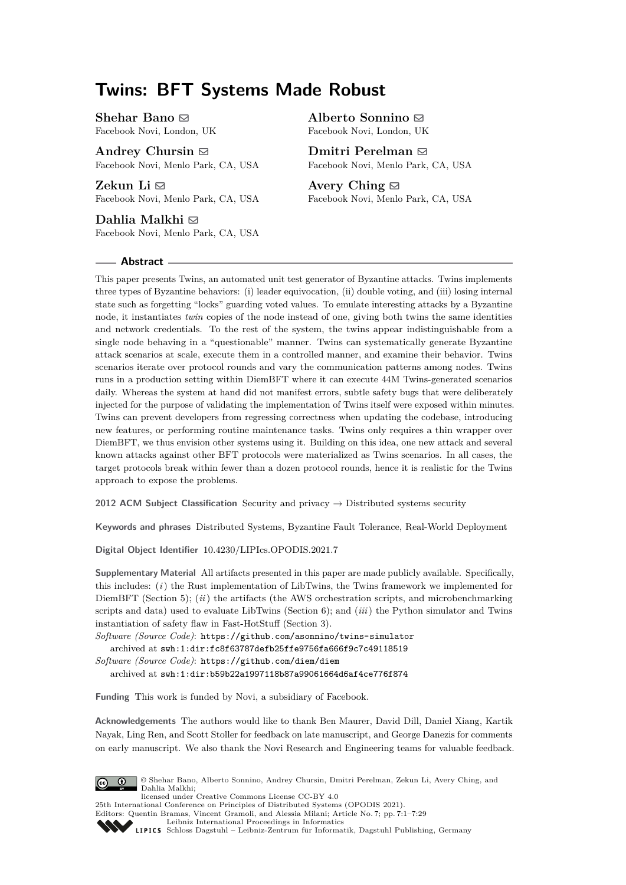# **Twins: BFT Systems Made Robust**

**Shehar Bano** [!](mailto:bano@fb.com) Facebook Novi, London, UK

**Andrey Chursin** [!](mailto:achursin@fb.com) Facebook Novi, Menlo Park, CA, USA

**Zekun Li**  $\boxtimes$ Facebook Novi, Menlo Park, CA, USA

**Dahlia Malkhi** [!](mailto:dmalkhi@fb.com) Facebook Novi, Menlo Park, CA, USA

#### **Abstract**

**Alberto Sonnino** [!](mailto:asonnino@fb.com) Facebook Novi, London, UK

**Dmitri Perelman** [!](mailto:dmitrip@fb.com) Facebook Novi, Menlo Park, CA, USA

**Avery Ching** [!](mailto:aching@fb.com) Facebook Novi, Menlo Park, CA, USA

This paper presents Twins, an automated unit test generator of Byzantine attacks. Twins implements three types of Byzantine behaviors: (i) leader equivocation, (ii) double voting, and (iii) losing internal state such as forgetting "locks" guarding voted values. To emulate interesting attacks by a Byzantine node, it instantiates *twin* copies of the node instead of one, giving both twins the same identities and network credentials. To the rest of the system, the twins appear indistinguishable from a single node behaving in a "questionable" manner. Twins can systematically generate Byzantine attack scenarios at scale, execute them in a controlled manner, and examine their behavior. Twins scenarios iterate over protocol rounds and vary the communication patterns among nodes. Twins runs in a production setting within DiemBFT where it can execute 44M Twins-generated scenarios daily. Whereas the system at hand did not manifest errors, subtle safety bugs that were deliberately injected for the purpose of validating the implementation of Twins itself were exposed within minutes. Twins can prevent developers from regressing correctness when updating the codebase, introducing new features, or performing routine maintenance tasks. Twins only requires a thin wrapper over DiemBFT, we thus envision other systems using it. Building on this idea, one new attack and several known attacks against other BFT protocols were materialized as Twins scenarios. In all cases, the target protocols break within fewer than a dozen protocol rounds, hence it is realistic for the Twins approach to expose the problems.

**2012 ACM Subject Classification** Security and privacy → Distributed systems security

**Keywords and phrases** Distributed Systems, Byzantine Fault Tolerance, Real-World Deployment

**Digital Object Identifier** [10.4230/LIPIcs.OPODIS.2021.7](https://doi.org/10.4230/LIPIcs.OPODIS.2021.7)

**Supplementary Material** All artifacts presented in this paper are made publicly available. Specifically, this includes: (*i*) the Rust implementation of LibTwins, the Twins framework we implemented for DiemBFT (Section [5\)](#page-9-0); (*ii*) the artifacts (the AWS orchestration scripts, and microbenchmarking scripts and data) used to evaluate LibTwins (Section [6\)](#page-11-0); and (*iii*) the Python simulator and Twins instantiation of safety flaw in Fast-HotStuff (Section [3\)](#page-4-0).

*Software (Source Code)*: <https://github.com/asonnino/twins-simulator> archived at [swh:1:dir:fc8f63787defb25ffe9756fa666f9c7c49118519](https://archive.softwareheritage.org/swh:1:dir:fc8f63787defb25ffe9756fa666f9c7c49118519;origin=https://github.com/asonnino/twins-simulator;visit=swh:1:snp:b9a44bc12d5ae6fe60f29fe51bbd18c2473ac856;anchor=swh:1:rev:3a3215addf3f79cb7b1dd2b0677f4d0896943d0b)

*Software (Source Code)*: <https://github.com/diem/diem> archived at [swh:1:dir:b59b22a1997118b87a99061664d6af4ce776f874](https://archive.softwareheritage.org/swh:1:dir:b59b22a1997118b87a99061664d6af4ce776f874;origin=https://github.com/diem/diem;visit=swh:1:snp:506351fb33ef3025872e527a2f342c9fc7084cdc;anchor=swh:1:rev:dc5def03aeeaee4f7e7919dd43e4d205b42cd80e)

**Funding** This work is funded by Novi, a subsidiary of Facebook.

**Acknowledgements** The authors would like to thank Ben Maurer, David Dill, Daniel Xiang, Kartik Nayak, Ling Ren, and Scott Stoller for feedback on late manuscript, and George Danezis for comments on early manuscript. We also thank the Novi Research and Engineering teams for valuable feedback.



© Shehar Bano, Alberto Sonnino, Andrey Chursin, Dmitri Perelman, Zekun Li, Avery Ching, and Dahlia Malkhi; licensed under Creative Commons License CC-BY 4.0

25th International Conference on Principles of Distributed Systems (OPODIS 2021).

Editors: Quentin Bramas, Vincent Gramoli, and Alessia Milani; Article No. 7; pp. 7:1–7:29

[Leibniz International Proceedings in Informatics](https://www.dagstuhl.de/lipics/)

[Schloss Dagstuhl – Leibniz-Zentrum für Informatik, Dagstuhl Publishing, Germany](https://www.dagstuhl.de)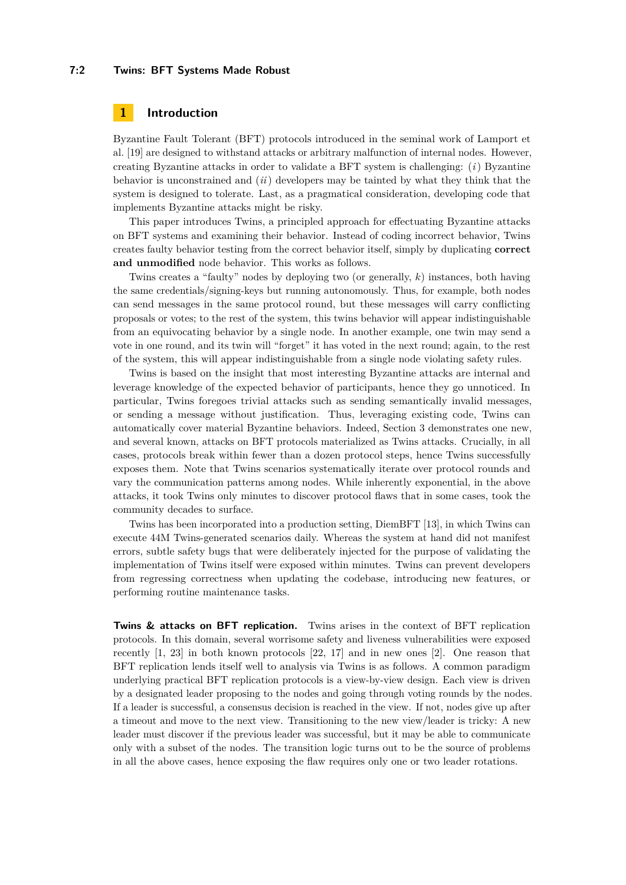#### **7:2 Twins: BFT Systems Made Robust**

### **1 Introduction**

Byzantine Fault Tolerant (BFT) protocols introduced in the seminal work of Lamport et al. [\[19\]](#page-16-0) are designed to withstand attacks or arbitrary malfunction of internal nodes. However, creating Byzantine attacks in order to validate a BFT system is challenging: (*i*) Byzantine behavior is unconstrained and (*ii*) developers may be tainted by what they think that the system is designed to tolerate. Last, as a pragmatical consideration, developing code that implements Byzantine attacks might be risky.

This paper introduces Twins, a principled approach for effectuating Byzantine attacks on BFT systems and examining their behavior. Instead of coding incorrect behavior, Twins creates faulty behavior testing from the correct behavior itself, simply by duplicating **correct and unmodified** node behavior. This works as follows.

Twins creates a "faulty" nodes by deploying two (or generally, *k*) instances, both having the same credentials/signing-keys but running autonomously. Thus, for example, both nodes can send messages in the same protocol round, but these messages will carry conflicting proposals or votes; to the rest of the system, this twins behavior will appear indistinguishable from an equivocating behavior by a single node. In another example, one twin may send a vote in one round, and its twin will "forget" it has voted in the next round; again, to the rest of the system, this will appear indistinguishable from a single node violating safety rules.

Twins is based on the insight that most interesting Byzantine attacks are internal and leverage knowledge of the expected behavior of participants, hence they go unnoticed. In particular, Twins foregoes trivial attacks such as sending semantically invalid messages, or sending a message without justification. Thus, leveraging existing code, Twins can automatically cover material Byzantine behaviors. Indeed, Section [3](#page-4-0) demonstrates one new, and several known, attacks on BFT protocols materialized as Twins attacks. Crucially, in all cases, protocols break within fewer than a dozen protocol steps, hence Twins successfully exposes them. Note that Twins scenarios systematically iterate over protocol rounds and vary the communication patterns among nodes. While inherently exponential, in the above attacks, it took Twins only minutes to discover protocol flaws that in some cases, took the community decades to surface.

Twins has been incorporated into a production setting, DiemBFT [\[13\]](#page-16-1), in which Twins can execute 44M Twins-generated scenarios daily. Whereas the system at hand did not manifest errors, subtle safety bugs that were deliberately injected for the purpose of validating the implementation of Twins itself were exposed within minutes. Twins can prevent developers from regressing correctness when updating the codebase, introducing new features, or performing routine maintenance tasks.

**Twins & attacks on BFT replication.** Twins arises in the context of BFT replication protocols. In this domain, several worrisome safety and liveness vulnerabilities were exposed recently [\[1,](#page-16-2) [23\]](#page-17-0) in both known protocols [\[22,](#page-17-1) [17\]](#page-16-3) and in new ones [\[2\]](#page-16-4). One reason that BFT replication lends itself well to analysis via Twins is as follows. A common paradigm underlying practical BFT replication protocols is a view-by-view design. Each view is driven by a designated leader proposing to the nodes and going through voting rounds by the nodes. If a leader is successful, a consensus decision is reached in the view. If not, nodes give up after a timeout and move to the next view. Transitioning to the new view/leader is tricky: A new leader must discover if the previous leader was successful, but it may be able to communicate only with a subset of the nodes. The transition logic turns out to be the source of problems in all the above cases, hence exposing the flaw requires only one or two leader rotations.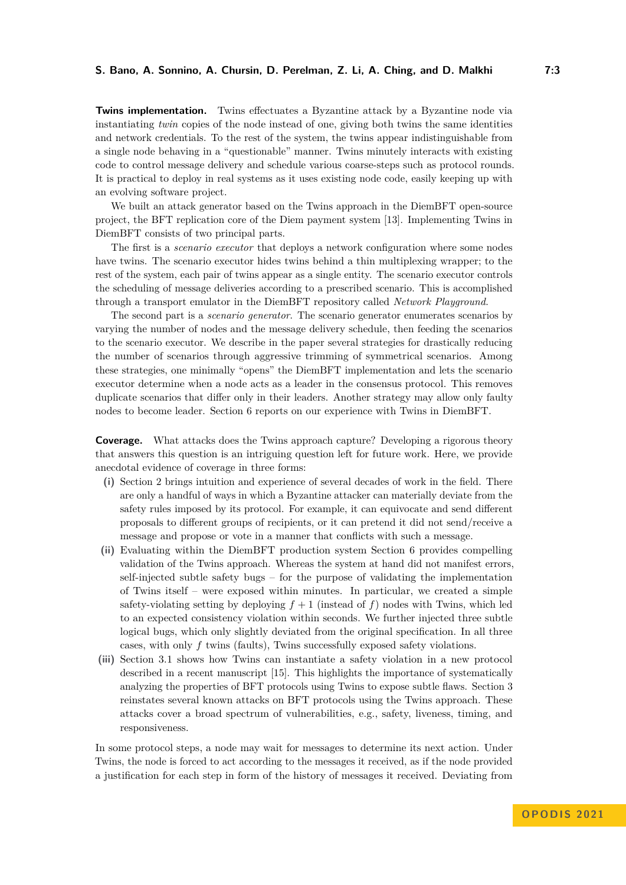**Twins implementation.** Twins effectuates a Byzantine attack by a Byzantine node via instantiating *twin* copies of the node instead of one, giving both twins the same identities and network credentials. To the rest of the system, the twins appear indistinguishable from a single node behaving in a "questionable" manner. Twins minutely interacts with existing code to control message delivery and schedule various coarse-steps such as protocol rounds. It is practical to deploy in real systems as it uses existing node code, easily keeping up with an evolving software project.

We built an attack generator based on the Twins approach in the DiemBFT open-source project, the BFT replication core of the Diem payment system [\[13\]](#page-16-1). Implementing Twins in DiemBFT consists of two principal parts.

The first is a *scenario executor* that deploys a network configuration where some nodes have twins. The scenario executor hides twins behind a thin multiplexing wrapper; to the rest of the system, each pair of twins appear as a single entity. The scenario executor controls the scheduling of message deliveries according to a prescribed scenario. This is accomplished through a transport emulator in the DiemBFT repository called *Network Playground*.

The second part is a *scenario generator*. The scenario generator enumerates scenarios by varying the number of nodes and the message delivery schedule, then feeding the scenarios to the scenario executor. We describe in the paper several strategies for drastically reducing the number of scenarios through aggressive trimming of symmetrical scenarios. Among these strategies, one minimally "opens" the DiemBFT implementation and lets the scenario executor determine when a node acts as a leader in the consensus protocol. This removes duplicate scenarios that differ only in their leaders. Another strategy may allow only faulty nodes to become leader. Section [6](#page-11-0) reports on our experience with Twins in DiemBFT.

**Coverage.** What attacks does the Twins approach capture? Developing a rigorous theory that answers this question is an intriguing question left for future work. Here, we provide anecdotal evidence of coverage in three forms:

- **(i)** Section [2](#page-3-0) brings intuition and experience of several decades of work in the field. There are only a handful of ways in which a Byzantine attacker can materially deviate from the safety rules imposed by its protocol. For example, it can equivocate and send different proposals to different groups of recipients, or it can pretend it did not send/receive a message and propose or vote in a manner that conflicts with such a message.
- **(ii)** Evaluating within the DiemBFT production system Section [6](#page-11-0) provides compelling validation of the Twins approach. Whereas the system at hand did not manifest errors, self-injected subtle safety bugs – for the purpose of validating the implementation of Twins itself – were exposed within minutes. In particular, we created a simple safety-violating setting by deploying  $f + 1$  (instead of f) nodes with Twins, which led to an expected consistency violation within seconds. We further injected three subtle logical bugs, which only slightly deviated from the original specification. In all three cases, with only *f* twins (faults), Twins successfully exposed safety violations.
- **(iii)** Section [3.1](#page-4-1) shows how Twins can instantiate a safety violation in a new protocol described in a recent manuscript [\[15\]](#page-16-5). This highlights the importance of systematically analyzing the properties of BFT protocols using Twins to expose subtle flaws. Section [3](#page-4-0) reinstates several known attacks on BFT protocols using the Twins approach. These attacks cover a broad spectrum of vulnerabilities, e.g., safety, liveness, timing, and responsiveness.

In some protocol steps, a node may wait for messages to determine its next action. Under Twins, the node is forced to act according to the messages it received, as if the node provided a justification for each step in form of the history of messages it received. Deviating from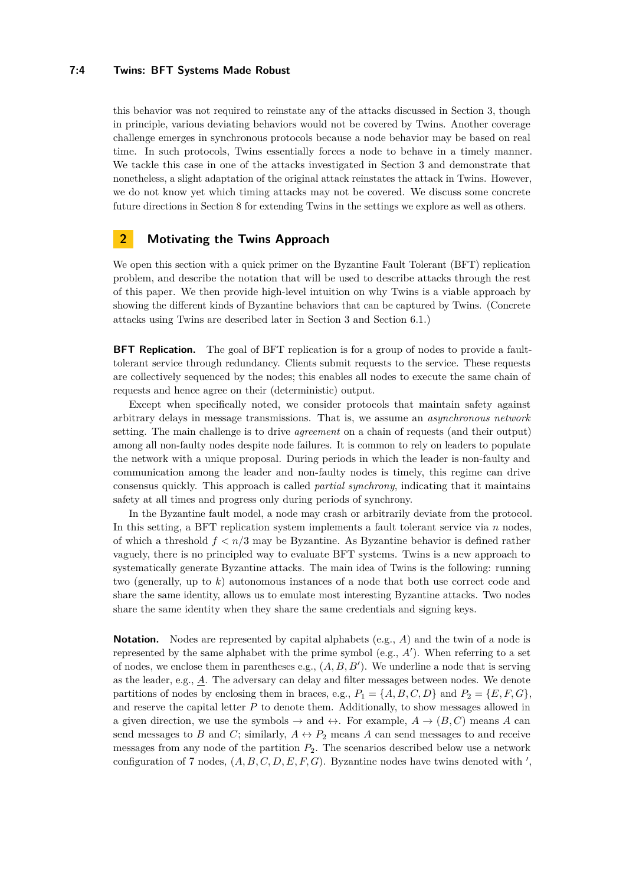#### **7:4 Twins: BFT Systems Made Robust**

this behavior was not required to reinstate any of the attacks discussed in Section [3,](#page-4-0) though in principle, various deviating behaviors would not be covered by Twins. Another coverage challenge emerges in synchronous protocols because a node behavior may be based on real time. In such protocols, Twins essentially forces a node to behave in a timely manner. We tackle this case in one of the attacks investigated in Section [3](#page-4-0) and demonstrate that nonetheless, a slight adaptation of the original attack reinstates the attack in Twins. However, we do not know yet which timing attacks may not be covered. We discuss some concrete future directions in Section [8](#page-15-0) for extending Twins in the settings we explore as well as others.

### <span id="page-3-0"></span>**2 Motivating the Twins Approach**

We open this section with a quick primer on the Byzantine Fault Tolerant (BFT) replication problem, and describe the notation that will be used to describe attacks through the rest of this paper. We then provide high-level intuition on why Twins is a viable approach by showing the different kinds of Byzantine behaviors that can be captured by Twins. (Concrete attacks using Twins are described later in Section [3](#page-4-0) and Section [6.1.](#page-11-1))

**BFT Replication.** The goal of BFT replication is for a group of nodes to provide a faulttolerant service through redundancy. Clients submit requests to the service. These requests are collectively sequenced by the nodes; this enables all nodes to execute the same chain of requests and hence agree on their (deterministic) output.

Except when specifically noted, we consider protocols that maintain safety against arbitrary delays in message transmissions. That is, we assume an *asynchronous network* setting. The main challenge is to drive *agreement* on a chain of requests (and their output) among all non-faulty nodes despite node failures. It is common to rely on leaders to populate the network with a unique proposal. During periods in which the leader is non-faulty and communication among the leader and non-faulty nodes is timely, this regime can drive consensus quickly. This approach is called *partial synchrony*, indicating that it maintains safety at all times and progress only during periods of synchrony.

In the Byzantine fault model, a node may crash or arbitrarily deviate from the protocol. In this setting, a BFT replication system implements a fault tolerant service via *n* nodes, of which a threshold *f < n/*3 may be Byzantine. As Byzantine behavior is defined rather vaguely, there is no principled way to evaluate BFT systems. Twins is a new approach to systematically generate Byzantine attacks. The main idea of Twins is the following: running two (generally, up to *k*) autonomous instances of a node that both use correct code and share the same identity, allows us to emulate most interesting Byzantine attacks. Two nodes share the same identity when they share the same credentials and signing keys.

<span id="page-3-1"></span>**Notation.** Nodes are represented by capital alphabets (e.g., A) and the twin of a node is represented by the same alphabet with the prime symbol (e.g., *A*′ ). When referring to a set of nodes, we enclose them in parentheses e.g., (*A, B, B*′ ). We underline a node that is serving as the leader, e.g., *A*. The adversary can delay and filter messages between nodes. We denote partitions of nodes by enclosing them in braces, e.g.,  $P_1 = \{A, B, C, D\}$  and  $P_2 = \{E, F, G\}$ , and reserve the capital letter *P* to denote them. Additionally, to show messages allowed in a given direction, we use the symbols  $\rightarrow$  and  $\leftrightarrow$ . For example,  $A \rightarrow (B, C)$  means A can send messages to *B* and *C*; similarly,  $A \leftrightarrow P_2$  means *A* can send messages to and receive messages from any node of the partition *P*2. The scenarios described below use a network configuration of 7 nodes,  $(A, B, C, D, E, F, G)$ . Byzantine nodes have twins denoted with ',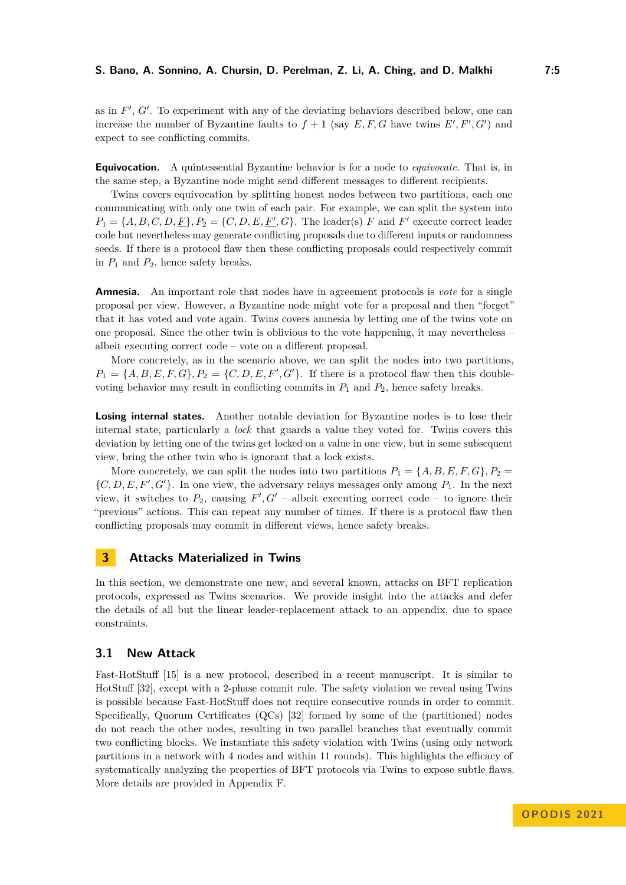as in  $F'$ ,  $G'$ . To experiment with any of the deviating behaviors described below, one can increase the number of Byzantine faults to  $f + 1$  (say  $E, F, G$  have twins  $E', F', G'$ ) and expect to see conflicting commits.

**Equivocation.** A quintessential Byzantine behavior is for a node to *equivocate*. That is, in the same step, a Byzantine node might send different messages to different recipients.

Twins covers equivocation by splitting honest nodes between two partitions, each one communicating with only one twin of each pair. For example, we can split the system into  $P_1 = \{A, B, C, D, \underline{F}\}, P_2 = \{C, D, E, \underline{F'}, G\}.$  The leader(s) *F* and *F*<sup>'</sup> execute correct leader code but nevertheless may generate conflicting proposals due to different inputs or randomness seeds. If there is a protocol flaw then these conflicting proposals could respectively commit in  $P_1$  and  $P_2$ , hence safety breaks.

**Amnesia.** An important role that nodes have in agreement protocols is *vote* for a single proposal per view. However, a Byzantine node might vote for a proposal and then "forget" that it has voted and vote again. Twins covers amnesia by letting one of the twins vote on one proposal. Since the other twin is oblivious to the vote happening, it may nevertheless – albeit executing correct code – vote on a different proposal.

More concretely, as in the scenario above, we can split the nodes into two partitions,  $P_1 = \{A, B, E, F, G\}, P_2 = \{C, D, E, F', G'\}.$  If there is a protocol flaw then this doublevoting behavior may result in conflicting commits in  $P_1$  and  $P_2$ , hence safety breaks.

**Losing internal states.** Another notable deviation for Byzantine nodes is to lose their internal state, particularly a *lock* that guards a value they voted for. Twins covers this deviation by letting one of the twins get locked on a value in one view, but in some subsequent view, bring the other twin who is ignorant that a lock exists.

More concretely, we can split the nodes into two partitions  $P_1 = \{A, B, E, F, G\}$ ,  $P_2 =$  $\{C, D, E, F', G'\}$ . In one view, the adversary relays messages only among  $P_1$ . In the next view, it switches to  $P_2$ , causing  $F', G'$  – albeit executing correct code – to ignore their "previous" actions. This can repeat any number of times. If there is a protocol flaw then conflicting proposals may commit in different views, hence safety breaks.

# <span id="page-4-0"></span>**3 Attacks Materialized in Twins**

In this section, we demonstrate one new, and several known, attacks on BFT replication protocols, expressed as Twins scenarios. We provide insight into the attacks and defer the details of all but the linear leader-replacement attack to an appendix, due to space constraints.

### <span id="page-4-1"></span>**3.1 New Attack**

Fast-HotStuff [\[15\]](#page-16-5) is a new protocol, described in a recent manuscript. It is similar to HotStuff [\[32\]](#page-17-2), except with a 2-phase commit rule. The safety violation we reveal using Twins is possible because Fast-HotStuff does not require consecutive rounds in order to commit. Specifically, Quorum Certificates (QCs) [\[32\]](#page-17-2) formed by some of the (partitioned) nodes do not reach the other nodes, resulting in two parallel branches that eventually commit two conflicting blocks. We instantiate this safety violation with Twins (using only network partitions in a network with 4 nodes and within 11 rounds). This highlights the efficacy of systematically analyzing the properties of BFT protocols via Twins to expose subtle flaws. More details are provided in Appendix [F.](#page-26-0)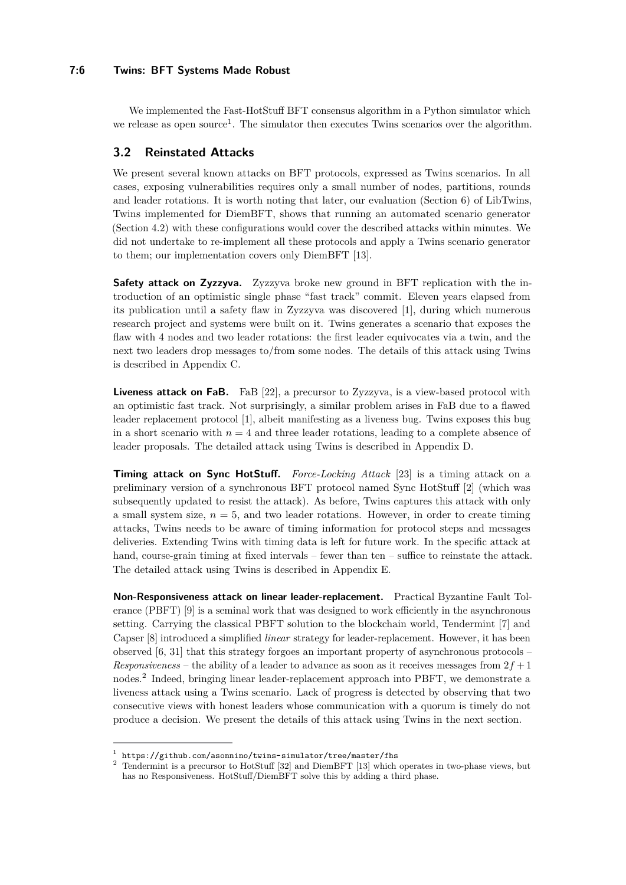#### **7:6 Twins: BFT Systems Made Robust**

We implemented the Fast-HotStuff BFT consensus algorithm in a Python simulator which we release as open source<sup>[1](#page-5-0)</sup>. The simulator then executes Twins scenarios over the algorithm.

### **3.2 Reinstated Attacks**

We present several known attacks on BFT protocols, expressed as Twins scenarios. In all cases, exposing vulnerabilities requires only a small number of nodes, partitions, rounds and leader rotations. It is worth noting that later, our evaluation (Section [6\)](#page-11-0) of LibTwins, Twins implemented for DiemBFT, shows that running an automated scenario generator (Section [4.2\)](#page-8-0) with these configurations would cover the described attacks within minutes. We did not undertake to re-implement all these protocols and apply a Twins scenario generator to them; our implementation covers only DiemBFT [\[13\]](#page-16-1).

**Safety attack on Zyzzyva.** Zyzzyva broke new ground in BFT replication with the introduction of an optimistic single phase "fast track" commit. Eleven years elapsed from its publication until a safety flaw in Zyzzyva was discovered [\[1\]](#page-16-2), during which numerous research project and systems were built on it. Twins generates a scenario that exposes the flaw with 4 nodes and two leader rotations: the first leader equivocates via a twin, and the next two leaders drop messages to/from some nodes. The details of this attack using Twins is described in Appendix [C.](#page-19-0)

**Liveness attack on FaB.** FaB [\[22\]](#page-17-1), a precursor to Zyzzyva, is a view-based protocol with an optimistic fast track. Not surprisingly, a similar problem arises in FaB due to a flawed leader replacement protocol [\[1\]](#page-16-2), albeit manifesting as a liveness bug. Twins exposes this bug in a short scenario with  $n = 4$  and three leader rotations, leading to a complete absence of leader proposals. The detailed attack using Twins is described in Appendix [D.](#page-22-0)

**Timing attack on Sync HotStuff.** *Force-Locking Attack* [\[23\]](#page-17-0) is a timing attack on a preliminary version of a synchronous BFT protocol named Sync HotStuff [\[2\]](#page-16-4) (which was subsequently updated to resist the attack). As before, Twins captures this attack with only a small system size,  $n = 5$ , and two leader rotations. However, in order to create timing attacks, Twins needs to be aware of timing information for protocol steps and messages deliveries. Extending Twins with timing data is left for future work. In the specific attack at hand, course-grain timing at fixed intervals – fewer than ten – suffice to reinstate the attack. The detailed attack using Twins is described in Appendix [E.](#page-23-0)

**Non-Responsiveness attack on linear leader-replacement.** Practical Byzantine Fault Tolerance (PBFT) [\[9\]](#page-16-6) is a seminal work that was designed to work efficiently in the asynchronous setting. Carrying the classical PBFT solution to the blockchain world, Tendermint [\[7\]](#page-16-7) and Capser [\[8\]](#page-16-8) introduced a simplified *linear* strategy for leader-replacement. However, it has been observed [\[6,](#page-16-9) [31\]](#page-17-3) that this strategy forgoes an important property of asynchronous protocols – *Responsiveness* – the ability of a leader to advance as soon as it receives messages from  $2f + 1$ nodes.[2](#page-5-1) Indeed, bringing linear leader-replacement approach into PBFT, we demonstrate a liveness attack using a Twins scenario. Lack of progress is detected by observing that two consecutive views with honest leaders whose communication with a quorum is timely do not produce a decision. We present the details of this attack using Twins in the next section.

<span id="page-5-0"></span><sup>1</sup> <https://github.com/asonnino/twins-simulator/tree/master/fhs>

<span id="page-5-1"></span><sup>&</sup>lt;sup>2</sup> Tendermint is a precursor to HotStuff [\[32\]](#page-17-2) and DiemBFT [\[13\]](#page-16-1) which operates in two-phase views, but has no Responsiveness. HotStuff/DiemBFT solve this by adding a third phase.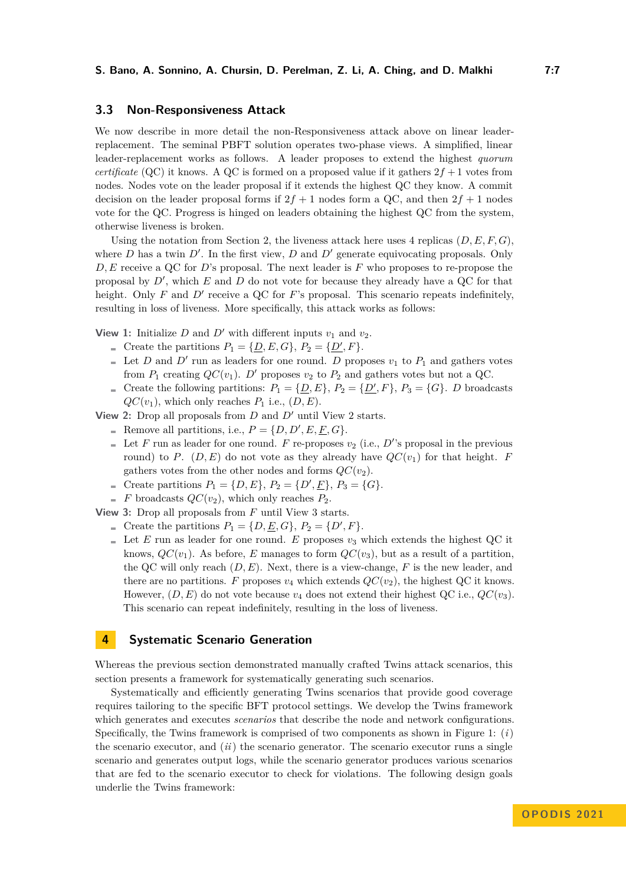### **3.3 Non-Responsiveness Attack**

We now describe in more detail the non-Responsiveness attack above on linear leaderreplacement. The seminal PBFT solution operates two-phase views. A simplified, linear leader-replacement works as follows. A leader proposes to extend the highest *quorum certificate* (QC) it knows. A QC is formed on a proposed value if it gathers  $2f + 1$  votes from nodes. Nodes vote on the leader proposal if it extends the highest QC they know. A commit decision on the leader proposal forms if  $2f + 1$  nodes form a QC, and then  $2f + 1$  nodes vote for the QC. Progress is hinged on leaders obtaining the highest QC from the system, otherwise liveness is broken.

Using the notation from Section [2,](#page-3-1) the liveness attack here uses 4 replicas  $(D, E, F, G)$ , where  $D$  has a twin  $D'$ . In the first view,  $D$  and  $D'$  generate equivocating proposals. Only *D, E* receive a QC for *D*'s proposal. The next leader is *F* who proposes to re-propose the proposal by *D*′ , which *E* and *D* do not vote for because they already have a QC for that height. Only *F* and *D'* receive a QC for *F*'s proposal. This scenario repeats indefinitely, resulting in loss of liveness. More specifically, this attack works as follows:

**View 1:** Initialize *D* and *D'* with different inputs  $v_1$  and  $v_2$ .

- Create the partitions  $P_1 = \{D, E, G\}$ ,  $P_2 = \{D', F\}$ .
- Let *D* and  $D'$  run as leaders for one round. *D* proposes  $v_1$  to  $P_1$  and gathers votes from  $P_1$  creating  $QC(v_1)$ . *D'* proposes  $v_2$  to  $P_2$  and gathers votes but not a QC.
- Create the following partitions:  $P_1 = {\underline{D}, E}$ ,  $P_2 = {\underline{D', F}}$ ,  $P_3 = {G}$ . *D* broadcasts  $QC(v_1)$ , which only reaches  $P_1$  i.e.,  $(D, E)$ .

**View 2:** Drop all proposals from *D* and *D*′ until View 2 starts.

- Remove all partitions, i.e.,  $P = \{D, D', E, \underline{F}, G\}.$
- Let  $F$  run as leader for one round.  $F$  re-proposes  $v_2$  (i.e.,  $D'$ 's proposal in the previous round) to *P*. (*D, E*) do not vote as they already have  $QC(v_1)$  for that height. *F* gathers votes from the other nodes and forms  $QC(v_2)$ .
- Create partitions  $P_1 = \{D, E\}$ ,  $P_2 = \{D', E\}$ ,  $P_3 = \{G\}$ .
- $\blacksquare$  *F* broadcasts  $QC(v_2)$ , which only reaches  $P_2$ .

**View 3:** Drop all proposals from *F* until View 3 starts.

- Create the partitions  $P_1 = \{D, \underline{E}, G\}, P_2 = \{D', F\}.$
- Let *E* run as leader for one round. *E* proposes  $v_3$  which extends the highest QC it knows,  $QC(v_1)$ . As before, *E* manages to form  $QC(v_3)$ , but as a result of a partition, the QC will only reach (*D, E*). Next, there is a view-change, *F* is the new leader, and there are no partitions. *F* proposes  $v_4$  which extends  $QC(v_2)$ , the highest QC it knows. However,  $(D, E)$  do not vote because  $v_4$  does not extend their highest QC i.e.,  $QC(v_3)$ . This scenario can repeat indefinitely, resulting in the loss of liveness.

# <span id="page-6-0"></span>**4 Systematic Scenario Generation**

Whereas the previous section demonstrated manually crafted Twins attack scenarios, this section presents a framework for systematically generating such scenarios.

Systematically and efficiently generating Twins scenarios that provide good coverage requires tailoring to the specific BFT protocol settings. We develop the Twins framework which generates and executes *scenarios* that describe the node and network configurations. Specifically, the Twins framework is comprised of two components as shown in Figure [1:](#page-7-0) (*i*) the scenario executor, and (*ii*) the scenario generator. The scenario executor runs a single scenario and generates output logs, while the scenario generator produces various scenarios that are fed to the scenario executor to check for violations. The following design goals underlie the Twins framework: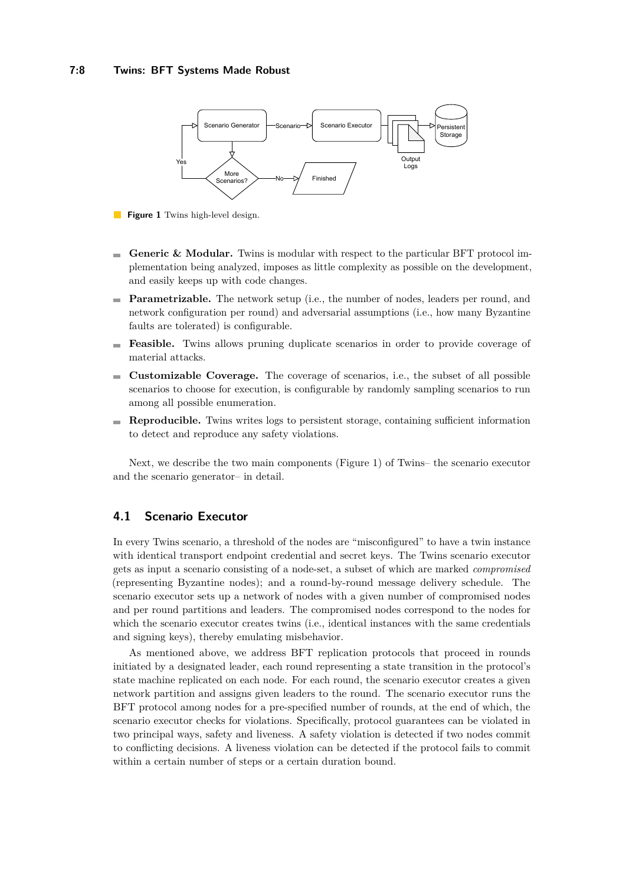#### **7:8 Twins: BFT Systems Made Robust**

<span id="page-7-0"></span>

**Figure 1** Twins high-level design.

- **Generic & Modular.** Twins is modular with respect to the particular BFT protocol im- $\sim$ plementation being analyzed, imposes as little complexity as possible on the development, and easily keeps up with code changes.
- **Parametrizable.** The network setup (i.e., the number of nodes, leaders per round, and network configuration per round) and adversarial assumptions (i.e., how many Byzantine faults are tolerated) is configurable.
- **Feasible.** Twins allows pruning duplicate scenarios in order to provide coverage of material attacks.
- **Customizable Coverage.** The coverage of scenarios, i.e., the subset of all possible  $\frac{1}{2}$ scenarios to choose for execution, is configurable by randomly sampling scenarios to run among all possible enumeration.
- **Reproducible.** Twins writes logs to persistent storage, containing sufficient information to detect and reproduce any safety violations.

Next, we describe the two main components (Figure [1\)](#page-7-0) of Twins– the scenario executor and the scenario generator– in detail.

### **4.1 Scenario Executor**

In every Twins scenario, a threshold of the nodes are "misconfigured" to have a twin instance with identical transport endpoint credential and secret keys. The Twins scenario executor gets as input a scenario consisting of a node-set, a subset of which are marked *compromised* (representing Byzantine nodes); and a round-by-round message delivery schedule. The scenario executor sets up a network of nodes with a given number of compromised nodes and per round partitions and leaders. The compromised nodes correspond to the nodes for which the scenario executor creates twins (i.e., identical instances with the same credentials and signing keys), thereby emulating misbehavior.

As mentioned above, we address BFT replication protocols that proceed in rounds initiated by a designated leader, each round representing a state transition in the protocol's state machine replicated on each node. For each round, the scenario executor creates a given network partition and assigns given leaders to the round. The scenario executor runs the BFT protocol among nodes for a pre-specified number of rounds, at the end of which, the scenario executor checks for violations. Specifically, protocol guarantees can be violated in two principal ways, safety and liveness. A safety violation is detected if two nodes commit to conflicting decisions. A liveness violation can be detected if the protocol fails to commit within a certain number of steps or a certain duration bound.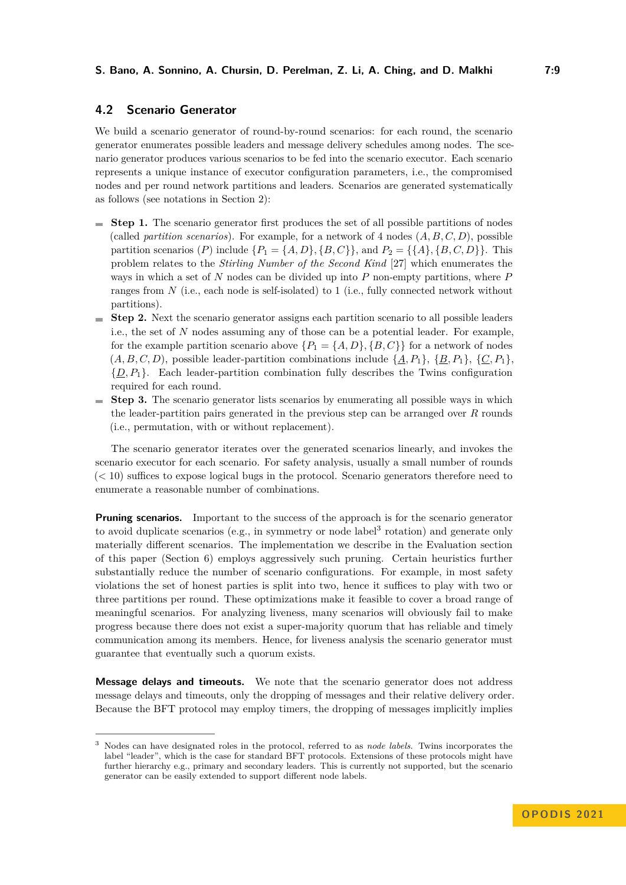### <span id="page-8-0"></span>**4.2 Scenario Generator**

We build a scenario generator of round-by-round scenarios: for each round, the scenario generator enumerates possible leaders and message delivery schedules among nodes. The scenario generator produces various scenarios to be fed into the scenario executor. Each scenario represents a unique instance of executor configuration parameters, i.e., the compromised nodes and per round network partitions and leaders. Scenarios are generated systematically as follows (see notations in Section [2\)](#page-3-1):

- **Step 1.** The scenario generator first produces the set of all possible partitions of nodes (called *partition scenarios*). For example, for a network of 4 nodes (*A, B, C, D*), possible partition scenarios (*P*) include  $\{P_1 = \{A, D\}, \{B, C\}\}\$ , and  $P_2 = \{\{A\}, \{B, C, D\}\}\$ . This problem relates to the *Stirling Number of the Second Kind* [\[27\]](#page-17-4) which enumerates the ways in which a set of *N* nodes can be divided up into *P* non-empty partitions, where *P* ranges from *N* (i.e., each node is self-isolated) to 1 (i.e., fully connected network without partitions).
- **Step 2.** Next the scenario generator assigns each partition scenario to all possible leaders i.e., the set of *N* nodes assuming any of those can be a potential leader. For example, for the example partition scenario above  $\{P_1 = \{A, D\}, \{B, C\}\}\$ for a network of nodes  $(A, B, C, D)$ , possible leader-partition combinations include  $\{A, P_1\}$ ,  $\{B, P_1\}$ ,  $\{C, P_1\}$ ,  $\{\underline{D}, P_1\}$ . Each leader-partition combination fully describes the Twins configuration required for each round.
- **Step 3.** The scenario generator lists scenarios by enumerating all possible ways in which the leader-partition pairs generated in the previous step can be arranged over *R* rounds (i.e., permutation, with or without replacement).

The scenario generator iterates over the generated scenarios linearly, and invokes the scenario executor for each scenario. For safety analysis, usually a small number of rounds (*<* 10) suffices to expose logical bugs in the protocol. Scenario generators therefore need to enumerate a reasonable number of combinations.

**Pruning scenarios.** Important to the success of the approach is for the scenario generator to avoid duplicate scenarios (e.g., in symmetry or node label<sup>[3](#page-8-1)</sup> rotation) and generate only materially different scenarios. The implementation we describe in the Evaluation section of this paper (Section [6\)](#page-11-0) employs aggressively such pruning. Certain heuristics further substantially reduce the number of scenario configurations. For example, in most safety violations the set of honest parties is split into two, hence it suffices to play with two or three partitions per round. These optimizations make it feasible to cover a broad range of meaningful scenarios. For analyzing liveness, many scenarios will obviously fail to make progress because there does not exist a super-majority quorum that has reliable and timely communication among its members. Hence, for liveness analysis the scenario generator must guarantee that eventually such a quorum exists.

**Message delays and timeouts.** We note that the scenario generator does not address message delays and timeouts, only the dropping of messages and their relative delivery order. Because the BFT protocol may employ timers, the dropping of messages implicitly implies

<span id="page-8-1"></span><sup>3</sup> Nodes can have designated roles in the protocol, referred to as *node labels*. Twins incorporates the label "leader", which is the case for standard BFT protocols. Extensions of these protocols might have further hierarchy e.g., primary and secondary leaders. This is currently not supported, but the scenario generator can be easily extended to support different node labels.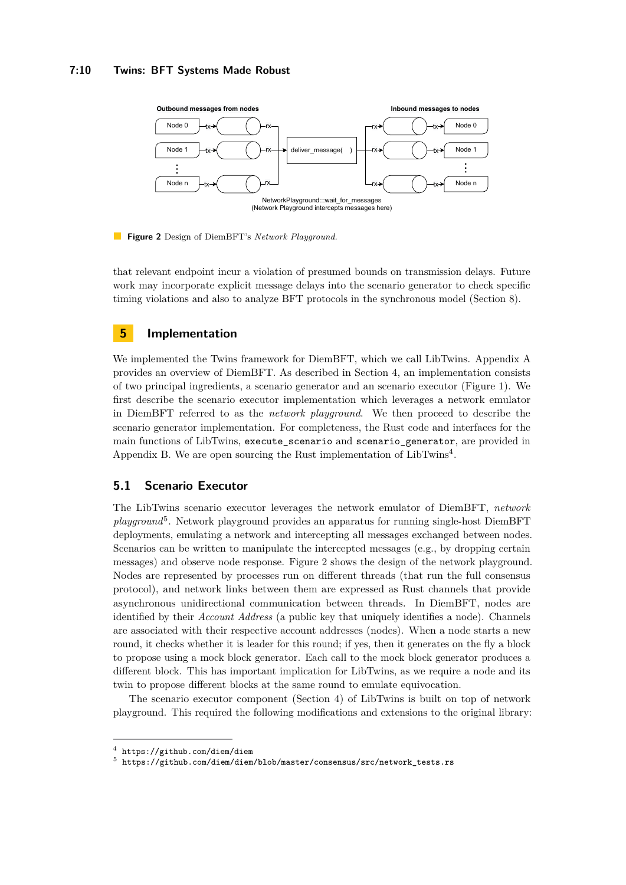#### **7:10 Twins: BFT Systems Made Robust**

<span id="page-9-3"></span>

**Figure 2** Design of DiemBFT's *Network Playground*.

that relevant endpoint incur a violation of presumed bounds on transmission delays. Future work may incorporate explicit message delays into the scenario generator to check specific timing violations and also to analyze BFT protocols in the synchronous model (Section [8\)](#page-15-0).

### <span id="page-9-0"></span>**5 Implementation**

We implemented the Twins framework for DiemBFT, which we call LibTwins. Appendix [A](#page-17-5) provides an overview of DiemBFT. As described in Section [4,](#page-6-0) an implementation consists of two principal ingredients, a scenario generator and an scenario executor (Figure [1\)](#page-7-0). We first describe the scenario executor implementation which leverages a network emulator in DiemBFT referred to as the *network playground*. We then proceed to describe the scenario generator implementation. For completeness, the Rust code and interfaces for the main functions of LibTwins, execute\_scenario and scenario\_generator, are provided in Appendix [B.](#page-19-1) We are open sourcing the Rust implementation of LibTwins<sup>[4](#page-9-1)</sup>.

### <span id="page-9-4"></span>**5.1 Scenario Executor**

The LibTwins scenario executor leverages the network emulator of DiemBFT, *network* playground<sup>[5](#page-9-2)</sup>. Network playground provides an apparatus for running single-host DiemBFT deployments, emulating a network and intercepting all messages exchanged between nodes. Scenarios can be written to manipulate the intercepted messages (e.g., by dropping certain messages) and observe node response. Figure [2](#page-9-3) shows the design of the network playground. Nodes are represented by processes run on different threads (that run the full consensus protocol), and network links between them are expressed as Rust channels that provide asynchronous unidirectional communication between threads. In DiemBFT, nodes are identified by their *Account Address* (a public key that uniquely identifies a node). Channels are associated with their respective account addresses (nodes). When a node starts a new round, it checks whether it is leader for this round; if yes, then it generates on the fly a block to propose using a mock block generator. Each call to the mock block generator produces a different block. This has important implication for LibTwins, as we require a node and its twin to propose different blocks at the same round to emulate equivocation.

The scenario executor component (Section [4\)](#page-6-0) of LibTwins is built on top of network playground. This required the following modifications and extensions to the original library:

<span id="page-9-1"></span> $^4$  <https://github.com/diem/diem>

<span id="page-9-2"></span> $^5$  [https://github.com/diem/diem/blob/master/consensus/src/network\\_tests.rs](https://github.com/diem/diem/blob/master/consensus/src/network_tests.rs)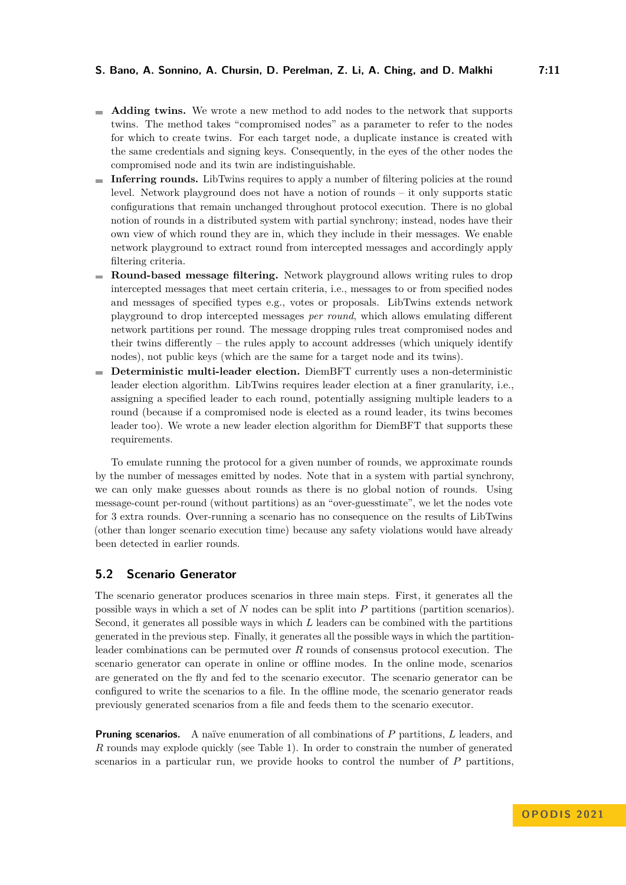- **Adding twins.** We wrote a new method to add nodes to the network that supports twins. The method takes "compromised nodes" as a parameter to refer to the nodes for which to create twins. For each target node, a duplicate instance is created with the same credentials and signing keys. Consequently, in the eyes of the other nodes the compromised node and its twin are indistinguishable.
- **Inferring rounds.** LibTwins requires to apply a number of filtering policies at the round level. Network playground does not have a notion of rounds – it only supports static configurations that remain unchanged throughout protocol execution. There is no global notion of rounds in a distributed system with partial synchrony; instead, nodes have their own view of which round they are in, which they include in their messages. We enable network playground to extract round from intercepted messages and accordingly apply filtering criteria.
- **Round-based message filtering.** Network playground allows writing rules to drop intercepted messages that meet certain criteria, i.e., messages to or from specified nodes and messages of specified types e.g., votes or proposals. LibTwins extends network playground to drop intercepted messages *per round*, which allows emulating different network partitions per round. The message dropping rules treat compromised nodes and their twins differently – the rules apply to account addresses (which uniquely identify nodes), not public keys (which are the same for a target node and its twins).
- **Deterministic multi-leader election.** DiemBFT currently uses a non-deterministic leader election algorithm. LibTwins requires leader election at a finer granularity, i.e., assigning a specified leader to each round, potentially assigning multiple leaders to a round (because if a compromised node is elected as a round leader, its twins becomes leader too). We wrote a new leader election algorithm for DiemBFT that supports these requirements.

To emulate running the protocol for a given number of rounds, we approximate rounds by the number of messages emitted by nodes. Note that in a system with partial synchrony, we can only make guesses about rounds as there is no global notion of rounds. Using message-count per-round (without partitions) as an "over-guesstimate", we let the nodes vote for 3 extra rounds. Over-running a scenario has no consequence on the results of LibTwins (other than longer scenario execution time) because any safety violations would have already been detected in earlier rounds.

### <span id="page-10-0"></span>**5.2 Scenario Generator**

The scenario generator produces scenarios in three main steps. First, it generates all the possible ways in which a set of *N* nodes can be split into *P* partitions (partition scenarios). Second, it generates all possible ways in which *L* leaders can be combined with the partitions generated in the previous step. Finally, it generates all the possible ways in which the partitionleader combinations can be permuted over *R* rounds of consensus protocol execution. The scenario generator can operate in online or offline modes. In the online mode, scenarios are generated on the fly and fed to the scenario executor. The scenario generator can be configured to write the scenarios to a file. In the offline mode, the scenario generator reads previously generated scenarios from a file and feeds them to the scenario executor.

**Pruning scenarios.** A naïve enumeration of all combinations of *P* partitions, *L* leaders, and *R* rounds may explode quickly (see Table [1\)](#page-13-0). In order to constrain the number of generated scenarios in a particular run, we provide hooks to control the number of *P* partitions,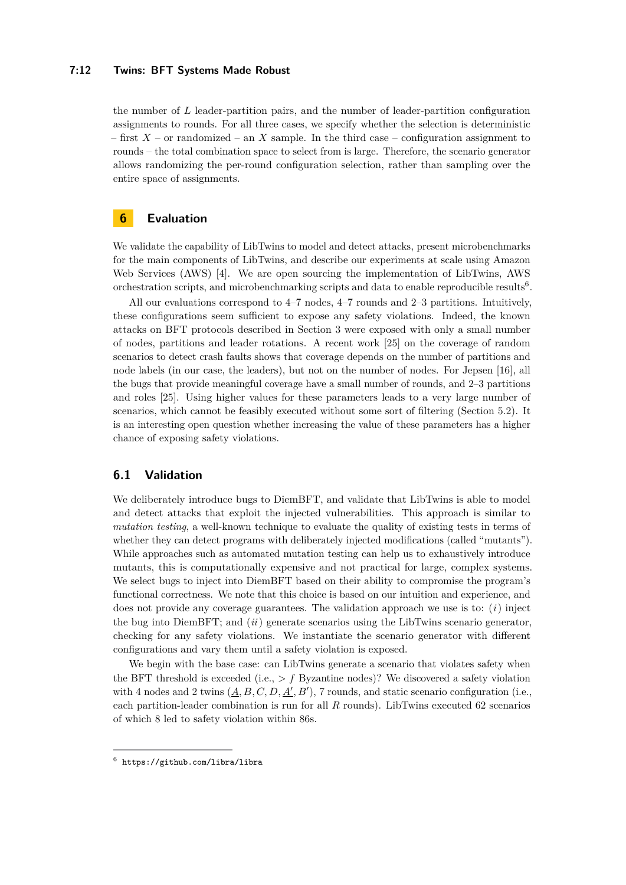#### **7:12 Twins: BFT Systems Made Robust**

the number of *L* leader-partition pairs, and the number of leader-partition configuration assignments to rounds. For all three cases, we specify whether the selection is deterministic – first  $X$  – or randomized – an X sample. In the third case – configuration assignment to rounds – the total combination space to select from is large. Therefore, the scenario generator allows randomizing the per-round configuration selection, rather than sampling over the entire space of assignments.

# <span id="page-11-0"></span>**6 Evaluation**

We validate the capability of LibTwins to model and detect attacks, present microbenchmarks for the main components of LibTwins, and describe our experiments at scale using Amazon Web Services (AWS) [\[4\]](#page-16-10). We are open sourcing the implementation of LibTwins, AWS orchestration scripts, and microbenchmarking scripts and data to enable reproducible results<sup>[6](#page-11-2)</sup>.

All our evaluations correspond to 4–7 nodes, 4–7 rounds and 2–3 partitions. Intuitively, these configurations seem sufficient to expose any safety violations. Indeed, the known attacks on BFT protocols described in Section [3](#page-4-0) were exposed with only a small number of nodes, partitions and leader rotations. A recent work [\[25\]](#page-17-6) on the coverage of random scenarios to detect crash faults shows that coverage depends on the number of partitions and node labels (in our case, the leaders), but not on the number of nodes. For Jepsen [\[16\]](#page-16-11), all the bugs that provide meaningful coverage have a small number of rounds, and 2–3 partitions and roles [\[25\]](#page-17-6). Using higher values for these parameters leads to a very large number of scenarios, which cannot be feasibly executed without some sort of filtering (Section [5.2\)](#page-10-0). It is an interesting open question whether increasing the value of these parameters has a higher chance of exposing safety violations.

### <span id="page-11-1"></span>**6.1 Validation**

We deliberately introduce bugs to DiemBFT, and validate that LibTwins is able to model and detect attacks that exploit the injected vulnerabilities. This approach is similar to *mutation testing*, a well-known technique to evaluate the quality of existing tests in terms of whether they can detect programs with deliberately injected modifications (called "mutants"). While approaches such as automated mutation testing can help us to exhaustively introduce mutants, this is computationally expensive and not practical for large, complex systems. We select bugs to inject into DiemBFT based on their ability to compromise the program's functional correctness. We note that this choice is based on our intuition and experience, and does not provide any coverage guarantees. The validation approach we use is to: (*i*) inject the bug into DiemBFT; and (*ii*) generate scenarios using the LibTwins scenario generator, checking for any safety violations. We instantiate the scenario generator with different configurations and vary them until a safety violation is exposed.

We begin with the base case: can LibTwins generate a scenario that violates safety when the BFT threshold is exceeded (i.e., *> f* Byzantine nodes)? We discovered a safety violation with 4 nodes and 2 twins  $(\underline{A}, B, C, D, \underline{A'}, B')$ , 7 rounds, and static scenario configuration (i.e., each partition-leader combination is run for all *R* rounds). LibTwins executed 62 scenarios of which 8 led to safety violation within 86s.

<span id="page-11-2"></span> $^6$  <https://github.com/libra/libra>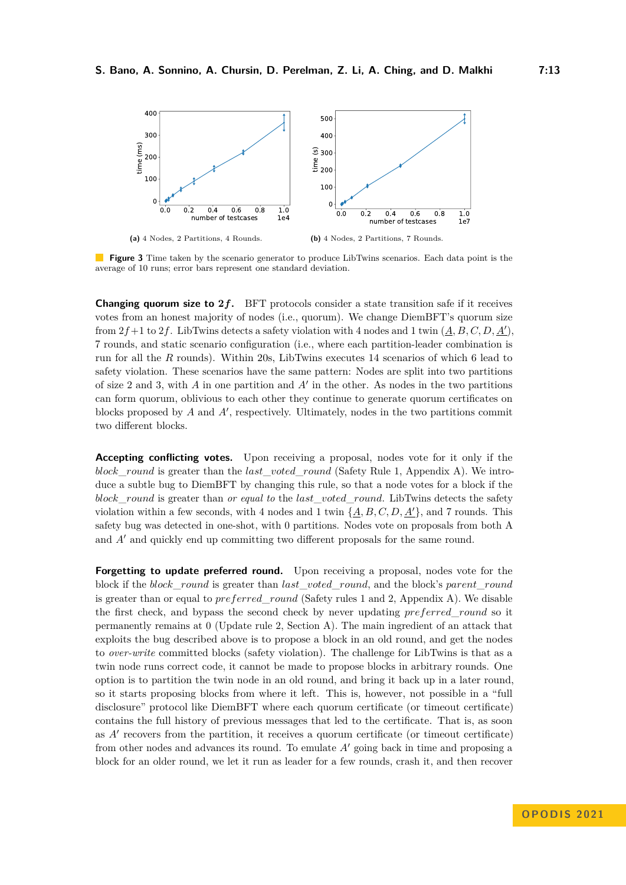<span id="page-12-0"></span>

**Figure 3** Time taken by the scenario generator to produce LibTwins scenarios. Each data point is the average of 10 runs; error bars represent one standard deviation.

**Changing quorum size to 2***f***.** BFT protocols consider a state transition safe if it receives votes from an honest majority of nodes (i.e., quorum). We change DiemBFT's quorum size from  $2f+1$  to  $2f$ . LibTwins detects a safety violation with 4 nodes and 1 twin  $(\underline{A}, B, C, D, \underline{A'})$ , 7 rounds, and static scenario configuration (i.e., where each partition-leader combination is run for all the *R* rounds). Within 20s, LibTwins executes 14 scenarios of which 6 lead to safety violation. These scenarios have the same pattern: Nodes are split into two partitions of size 2 and 3, with *A* in one partition and *A*′ in the other. As nodes in the two partitions can form quorum, oblivious to each other they continue to generate quorum certificates on blocks proposed by *A* and *A*′ , respectively. Ultimately, nodes in the two partitions commit two different blocks.

**Accepting conflicting votes.** Upon receiving a proposal, nodes vote for it only if the *block*\_*round* is greater than the *last*\_*voted*\_*round* (Safety Rule 1, Appendix [A\)](#page-17-5). We introduce a subtle bug to DiemBFT by changing this rule, so that a node votes for a block if the *block*\_*round* is greater than *or equal to* the *last*\_*voted*\_*round*. LibTwins detects the safety violation within a few seconds, with 4 nodes and 1 twin  $\{A, B, C, D, A'\}$ , and 7 rounds. This safety bug was detected in one-shot, with 0 partitions. Nodes vote on proposals from both A and *A*′ and quickly end up committing two different proposals for the same round.

**Forgetting to update preferred round.** Upon receiving a proposal, nodes vote for the block if the *block*\_*round* is greater than *last*\_*voted*\_*round*, and the block's *parent*\_*round* is greater than or equal to *preferred*\_*round* (Safety rules 1 and 2, Appendix [A\)](#page-17-5). We disable the first check, and bypass the second check by never updating *preferred*\_*round* so it permanently remains at 0 (Update rule 2, Section [A\)](#page-17-5). The main ingredient of an attack that exploits the bug described above is to propose a block in an old round, and get the nodes to *over-write* committed blocks (safety violation). The challenge for LibTwins is that as a twin node runs correct code, it cannot be made to propose blocks in arbitrary rounds. One option is to partition the twin node in an old round, and bring it back up in a later round, so it starts proposing blocks from where it left. This is, however, not possible in a "full disclosure" protocol like DiemBFT where each quorum certificate (or timeout certificate) contains the full history of previous messages that led to the certificate. That is, as soon as *A*′ recovers from the partition, it receives a quorum certificate (or timeout certificate) from other nodes and advances its round. To emulate *A*′ going back in time and proposing a block for an older round, we let it run as leader for a few rounds, crash it, and then recover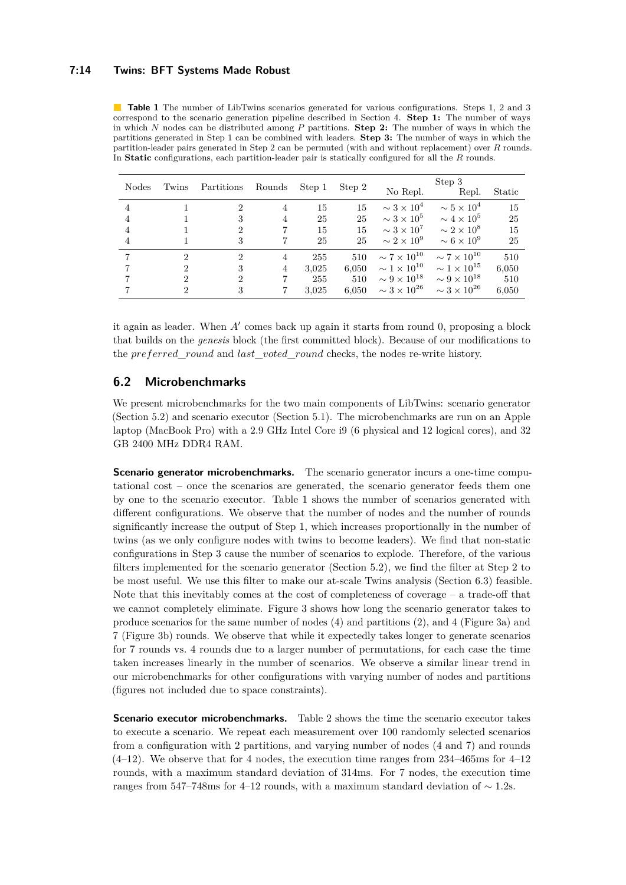#### **7:14 Twins: BFT Systems Made Robust**

<span id="page-13-0"></span>**Table 1** The number of LibTwins scenarios generated for various configurations. Steps 1, 2 and 3 correspond to the scenario generation pipeline described in Section [4.](#page-6-0) **Step 1:** The number of ways in which *N* nodes can be distributed among *P* partitions. **Step 2:** The number of ways in which the partitions generated in Step 1 can be combined with leaders. **Step 3:** The number of ways in which the partition-leader pairs generated in Step 2 can be permuted (with and without replacement) over *R* rounds. In **Static** configurations, each partition-leader pair is statically configured for all the *R* rounds.

| <b>Nodes</b>   | Twins          | Partitions                  | Rounds         | Step 1 | Step 2 | No Repl.                | Step 3<br>Repl.         | Static |
|----------------|----------------|-----------------------------|----------------|--------|--------|-------------------------|-------------------------|--------|
| 4              |                | 2                           | 4              | 15     | 15     | $\sim 3 \times 10^4$    | $\sim 5 \times 10^4$    | 15     |
| $\overline{4}$ |                | 3                           | 4              | 25     | 25     | $\sim 3 \times 10^5$    | $\sim 4 \times 10^5$    | 25     |
| $\overline{4}$ |                | 2                           |                | 15     | 15     | $\sim 3 \times 10^7$    | $\sim 2 \times 10^8$    | 15     |
| 4              |                | 3                           | 7              | 25     | 25     | $\sim 2 \times 10^9$    | $\sim 6 \times 10^9$    | 25     |
|                | 2              | $\mathcal{D}_{\mathcal{L}}$ | 4              | 255    | 510    | $\sim 7 \times 10^{10}$ | $\sim 7 \times 10^{10}$ | 510    |
|                | 2              | 3                           | $\overline{4}$ | 3,025  | 6,050  | $\sim 1 \times 10^{10}$ | $\sim 1 \times 10^{15}$ | 6,050  |
|                | $\overline{2}$ | $\overline{2}$              |                | 255    | 510    | $\sim 9 \times 10^{18}$ | $\sim 9 \times 10^{18}$ | 510    |
|                | 2              | 3                           |                | 3.025  | 6.050  | $\sim 3 \times 10^{26}$ | $\sim 3 \times 10^{26}$ | 6,050  |

it again as leader. When *A*′ comes back up again it starts from round 0, proposing a block that builds on the *genesis* block (the first committed block). Because of our modifications to the *preferred*\_*round* and *last*\_*voted*\_*round* checks, the nodes re-write history.

### **6.2 Microbenchmarks**

We present microbenchmarks for the two main components of LibTwins: scenario generator (Section [5.2\)](#page-10-0) and scenario executor (Section [5.1\)](#page-9-4). The microbenchmarks are run on an Apple laptop (MacBook Pro) with a 2.9 GHz Intel Core i9 (6 physical and 12 logical cores), and 32 GB 2400 MHz DDR4 RAM.

**Scenario generator microbenchmarks.** The scenario generator incurs a one-time computational cost – once the scenarios are generated, the scenario generator feeds them one by one to the scenario executor. Table [1](#page-13-0) shows the number of scenarios generated with different configurations. We observe that the number of nodes and the number of rounds significantly increase the output of Step 1, which increases proportionally in the number of twins (as we only configure nodes with twins to become leaders). We find that non-static configurations in Step 3 cause the number of scenarios to explode. Therefore, of the various filters implemented for the scenario generator (Section [5.2\)](#page-10-0), we find the filter at Step 2 to be most useful. We use this filter to make our at-scale Twins analysis (Section [6.3\)](#page-14-0) feasible. Note that this inevitably comes at the cost of completeness of coverage – a trade-off that we cannot completely eliminate. Figure [3](#page-12-0) shows how long the scenario generator takes to produce scenarios for the same number of nodes (4) and partitions (2), and 4 (Figure [3a\)](#page-12-0) and 7 (Figure [3b\)](#page-12-0) rounds. We observe that while it expectedly takes longer to generate scenarios for 7 rounds vs. 4 rounds due to a larger number of permutations, for each case the time taken increases linearly in the number of scenarios. We observe a similar linear trend in our microbenchmarks for other configurations with varying number of nodes and partitions (figures not included due to space constraints).

**Scenario executor microbenchmarks.** Table [2](#page-14-1) shows the time the scenario executor takes to execute a scenario. We repeat each measurement over 100 randomly selected scenarios from a configuration with 2 partitions, and varying number of nodes (4 and 7) and rounds  $(4-12)$ . We observe that for 4 nodes, the execution time ranges from 234-465ms for  $4-12$ rounds, with a maximum standard deviation of 314ms. For 7 nodes, the execution time ranges from 547–748ms for 4–12 rounds, with a maximum standard deviation of ∼ 1*.*2s.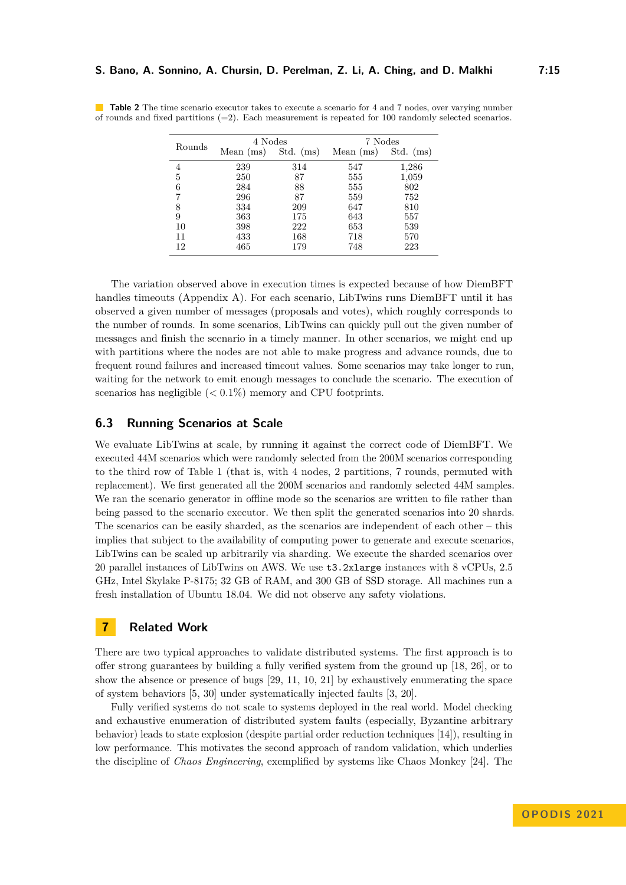|        | 4 Nodes   |             | 7 Nodes     |             |  |
|--------|-----------|-------------|-------------|-------------|--|
| Rounds | Mean (ms) | Std. $(ms)$ | Mean $(ms)$ | $Std.$ (ms) |  |
| 4      | 239       | 314         | 547         | 1,286       |  |
| 5      | 250       | 87          | 555         | 1,059       |  |
| 6      | 284       | 88          | 555         | 802         |  |
|        | 296       | 87          | 559         | 752         |  |
| 8      | 334       | 209         | 647         | 810         |  |
| 9      | 363       | 175         | 643         | 557         |  |
| 10     | 398       | 222         | 653         | 539         |  |
| 11     | 433       | 168         | 718         | 570         |  |
| 12     | 465       | 179         | 748         | 223         |  |

<span id="page-14-1"></span>**Table 2** The time scenario executor takes to execute a scenario for 4 and 7 nodes, over varying number of rounds and fixed partitions  $(=2)$ . Each measurement is repeated for 100 randomly selected scenarios.

The variation observed above in execution times is expected because of how DiemBFT handles timeouts (Appendix [A\)](#page-17-5). For each scenario, LibTwins runs DiemBFT until it has observed a given number of messages (proposals and votes), which roughly corresponds to the number of rounds. In some scenarios, LibTwins can quickly pull out the given number of messages and finish the scenario in a timely manner. In other scenarios, we might end up with partitions where the nodes are not able to make progress and advance rounds, due to frequent round failures and increased timeout values. Some scenarios may take longer to run, waiting for the network to emit enough messages to conclude the scenario. The execution of scenarios has negligible (*<* 0*.*1%) memory and CPU footprints.

### <span id="page-14-0"></span>**6.3 Running Scenarios at Scale**

We evaluate LibTwins at scale, by running it against the correct code of DiemBFT. We executed 44M scenarios which were randomly selected from the 200M scenarios corresponding to the third row of Table [1](#page-13-0) (that is, with 4 nodes, 2 partitions, 7 rounds, permuted with replacement). We first generated all the 200M scenarios and randomly selected 44M samples. We ran the scenario generator in offline mode so the scenarios are written to file rather than being passed to the scenario executor. We then split the generated scenarios into 20 shards. The scenarios can be easily sharded, as the scenarios are independent of each other – this implies that subject to the availability of computing power to generate and execute scenarios, LibTwins can be scaled up arbitrarily via sharding. We execute the sharded scenarios over 20 parallel instances of LibTwins on AWS. We use t3.2xlarge instances with 8 vCPUs, 2.5 GHz, Intel Skylake P-8175; 32 GB of RAM, and 300 GB of SSD storage. All machines run a fresh installation of Ubuntu 18.04. We did not observe any safety violations.

# **7 Related Work**

There are two typical approaches to validate distributed systems. The first approach is to offer strong guarantees by building a fully verified system from the ground up [\[18,](#page-16-12) [26\]](#page-17-7), or to show the absence or presence of bugs [\[29,](#page-17-8) [11,](#page-16-13) [10,](#page-16-14) [21\]](#page-17-9) by exhaustively enumerating the space of system behaviors [\[5,](#page-16-15) [30\]](#page-17-10) under systematically injected faults [\[3,](#page-16-16) [20\]](#page-16-17).

Fully verified systems do not scale to systems deployed in the real world. Model checking and exhaustive enumeration of distributed system faults (especially, Byzantine arbitrary behavior) leads to state explosion (despite partial order reduction techniques [\[14\]](#page-16-18)), resulting in low performance. This motivates the second approach of random validation, which underlies the discipline of *Chaos Engineering*, exemplified by systems like Chaos Monkey [\[24\]](#page-17-11). The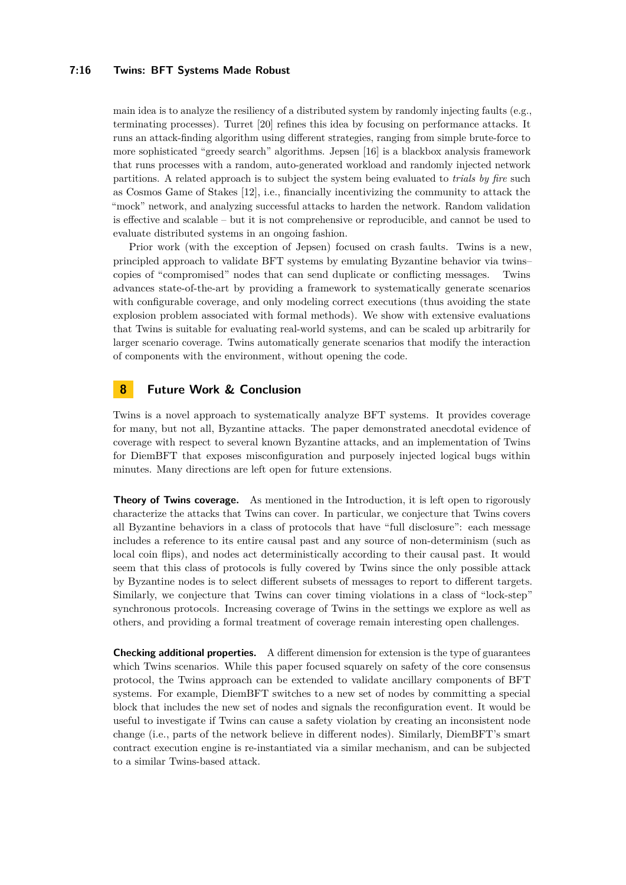#### **7:16 Twins: BFT Systems Made Robust**

main idea is to analyze the resiliency of a distributed system by randomly injecting faults (e.g., terminating processes). Turret [\[20\]](#page-16-17) refines this idea by focusing on performance attacks. It runs an attack-finding algorithm using different strategies, ranging from simple brute-force to more sophisticated "greedy search" algorithms. Jepsen [\[16\]](#page-16-11) is a blackbox analysis framework that runs processes with a random, auto-generated workload and randomly injected network partitions. A related approach is to subject the system being evaluated to *trials by fire* such as Cosmos Game of Stakes [\[12\]](#page-16-19), i.e., financially incentivizing the community to attack the "mock" network, and analyzing successful attacks to harden the network. Random validation is effective and scalable – but it is not comprehensive or reproducible, and cannot be used to evaluate distributed systems in an ongoing fashion.

Prior work (with the exception of Jepsen) focused on crash faults. Twins is a new, principled approach to validate BFT systems by emulating Byzantine behavior via twins– copies of "compromised" nodes that can send duplicate or conflicting messages. Twins advances state-of-the-art by providing a framework to systematically generate scenarios with configurable coverage, and only modeling correct executions (thus avoiding the state explosion problem associated with formal methods). We show with extensive evaluations that Twins is suitable for evaluating real-world systems, and can be scaled up arbitrarily for larger scenario coverage. Twins automatically generate scenarios that modify the interaction of components with the environment, without opening the code.

# <span id="page-15-0"></span>**8 Future Work & Conclusion**

Twins is a novel approach to systematically analyze BFT systems. It provides coverage for many, but not all, Byzantine attacks. The paper demonstrated anecdotal evidence of coverage with respect to several known Byzantine attacks, and an implementation of Twins for DiemBFT that exposes misconfiguration and purposely injected logical bugs within minutes. Many directions are left open for future extensions.

**Theory of Twins coverage.** As mentioned in the Introduction, it is left open to rigorously characterize the attacks that Twins can cover. In particular, we conjecture that Twins covers all Byzantine behaviors in a class of protocols that have "full disclosure": each message includes a reference to its entire causal past and any source of non-determinism (such as local coin flips), and nodes act deterministically according to their causal past. It would seem that this class of protocols is fully covered by Twins since the only possible attack by Byzantine nodes is to select different subsets of messages to report to different targets. Similarly, we conjecture that Twins can cover timing violations in a class of "lock-step" synchronous protocols. Increasing coverage of Twins in the settings we explore as well as others, and providing a formal treatment of coverage remain interesting open challenges.

**Checking additional properties.** A different dimension for extension is the type of guarantees which Twins scenarios. While this paper focused squarely on safety of the core consensus protocol, the Twins approach can be extended to validate ancillary components of BFT systems. For example, DiemBFT switches to a new set of nodes by committing a special block that includes the new set of nodes and signals the reconfiguration event. It would be useful to investigate if Twins can cause a safety violation by creating an inconsistent node change (i.e., parts of the network believe in different nodes). Similarly, DiemBFT's smart contract execution engine is re-instantiated via a similar mechanism, and can be subjected to a similar Twins-based attack.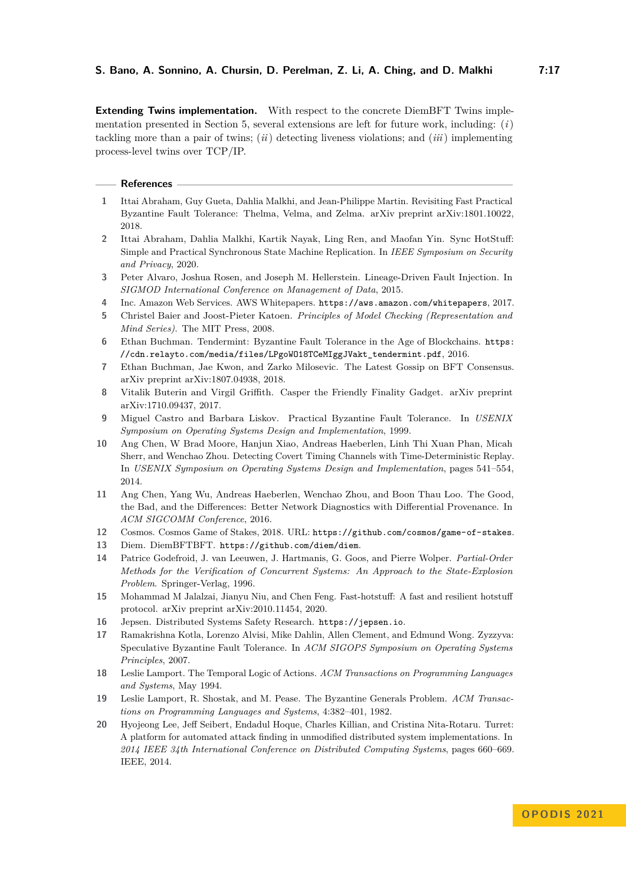**Extending Twins implementation.** With respect to the concrete DiemBFT Twins implementation presented in Section [5,](#page-9-0) several extensions are left for future work, including: (*i*) tackling more than a pair of twins; (*ii*) detecting liveness violations; and (*iii*) implementing process-level twins over TCP/IP.

#### **References**

- <span id="page-16-2"></span>**1** Ittai Abraham, Guy Gueta, Dahlia Malkhi, and Jean-Philippe Martin. Revisiting Fast Practical Byzantine Fault Tolerance: Thelma, Velma, and Zelma. arXiv preprint arXiv:1801.10022, 2018.
- <span id="page-16-4"></span>**2** Ittai Abraham, Dahlia Malkhi, Kartik Nayak, Ling Ren, and Maofan Yin. Sync HotStuff: Simple and Practical Synchronous State Machine Replication. In *IEEE Symposium on Security and Privacy*, 2020.
- <span id="page-16-16"></span>**3** Peter Alvaro, Joshua Rosen, and Joseph M. Hellerstein. Lineage-Driven Fault Injection. In *SIGMOD International Conference on Management of Data*, 2015.
- <span id="page-16-10"></span>**4** Inc. Amazon Web Services. AWS Whitepapers. <https://aws.amazon.com/whitepapers>, 2017.
- <span id="page-16-15"></span>**5** Christel Baier and Joost-Pieter Katoen. *Principles of Model Checking (Representation and Mind Series)*. The MIT Press, 2008.
- <span id="page-16-9"></span>**6** Ethan Buchman. Tendermint: Byzantine Fault Tolerance in the Age of Blockchains. [https:](https://cdn.relayto.com/media/files/LPgoWO18TCeMIggJVakt_tendermint.pdf) [//cdn.relayto.com/media/files/LPgoWO18TCeMIggJVakt\\_tendermint.pdf](https://cdn.relayto.com/media/files/LPgoWO18TCeMIggJVakt_tendermint.pdf), 2016.
- <span id="page-16-7"></span>**7** Ethan Buchman, Jae Kwon, and Zarko Milosevic. The Latest Gossip on BFT Consensus. arXiv preprint arXiv:1807.04938, 2018.
- <span id="page-16-8"></span>**8** Vitalik Buterin and Virgil Griffith. Casper the Friendly Finality Gadget. arXiv preprint arXiv:1710.09437, 2017.
- <span id="page-16-6"></span>**9** Miguel Castro and Barbara Liskov. Practical Byzantine Fault Tolerance. In *USENIX Symposium on Operating Systems Design and Implementation*, 1999.
- <span id="page-16-14"></span>**10** Ang Chen, W Brad Moore, Hanjun Xiao, Andreas Haeberlen, Linh Thi Xuan Phan, Micah Sherr, and Wenchao Zhou. Detecting Covert Timing Channels with Time-Deterministic Replay. In *USENIX Symposium on Operating Systems Design and Implementation*, pages 541–554, 2014.
- <span id="page-16-13"></span>**11** Ang Chen, Yang Wu, Andreas Haeberlen, Wenchao Zhou, and Boon Thau Loo. The Good, the Bad, and the Differences: Better Network Diagnostics with Differential Provenance. In *ACM SIGCOMM Conference*, 2016.
- <span id="page-16-19"></span>**12** Cosmos. Cosmos Game of Stakes, 2018. URL: <https://github.com/cosmos/game-of-stakes>.
- <span id="page-16-1"></span>**13** Diem. DiemBFTBFT. <https://github.com/diem/diem>.
- <span id="page-16-18"></span>**14** Patrice Godefroid, J. van Leeuwen, J. Hartmanis, G. Goos, and Pierre Wolper. *Partial-Order Methods for the Verification of Concurrent Systems: An Approach to the State-Explosion Problem*. Springer-Verlag, 1996.
- <span id="page-16-5"></span>**15** Mohammad M Jalalzai, Jianyu Niu, and Chen Feng. Fast-hotstuff: A fast and resilient hotstuff protocol. arXiv preprint arXiv:2010.11454, 2020.
- <span id="page-16-11"></span>**16** Jepsen. Distributed Systems Safety Research. <https://jepsen.io>.
- <span id="page-16-3"></span>**17** Ramakrishna Kotla, Lorenzo Alvisi, Mike Dahlin, Allen Clement, and Edmund Wong. Zyzzyva: Speculative Byzantine Fault Tolerance. In *ACM SIGOPS Symposium on Operating Systems Principles*, 2007.
- <span id="page-16-12"></span>**18** Leslie Lamport. The Temporal Logic of Actions. *ACM Transactions on Programming Languages and Systems*, May 1994.
- <span id="page-16-0"></span>**19** Leslie Lamport, R. Shostak, and M. Pease. The Byzantine Generals Problem. *ACM Transactions on Programming Languages and Systems*, 4:382–401, 1982.
- <span id="page-16-17"></span>**20** Hyojeong Lee, Jeff Seibert, Endadul Hoque, Charles Killian, and Cristina Nita-Rotaru. Turret: A platform for automated attack finding in unmodified distributed system implementations. In *2014 IEEE 34th International Conference on Distributed Computing Systems*, pages 660–669. IEEE, 2014.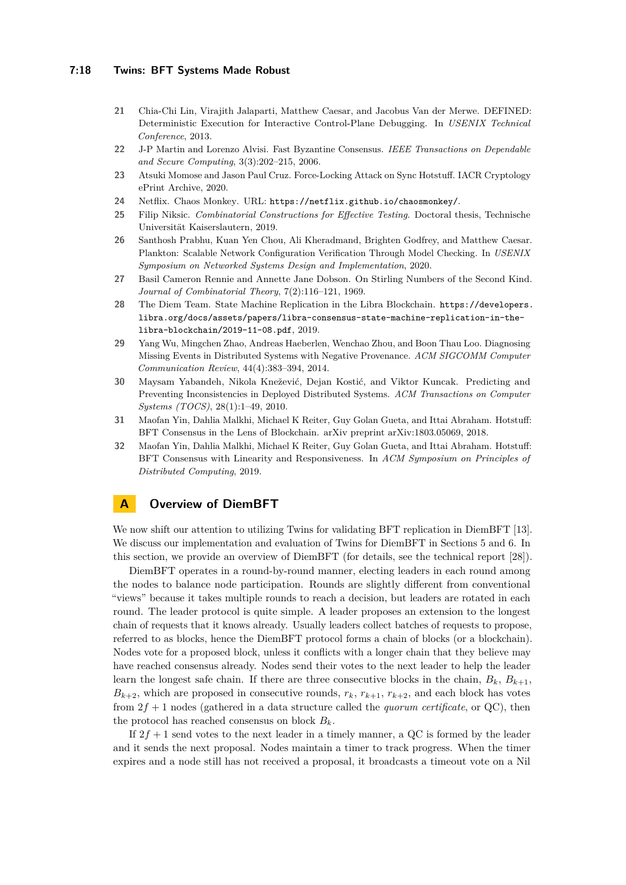#### **7:18 Twins: BFT Systems Made Robust**

- <span id="page-17-9"></span>**21** Chia-Chi Lin, Virajith Jalaparti, Matthew Caesar, and Jacobus Van der Merwe. DEFINED: Deterministic Execution for Interactive Control-Plane Debugging. In *USENIX Technical Conference*, 2013.
- <span id="page-17-1"></span>**22** J-P Martin and Lorenzo Alvisi. Fast Byzantine Consensus. *IEEE Transactions on Dependable and Secure Computing*, 3(3):202–215, 2006.
- <span id="page-17-0"></span>**23** Atsuki Momose and Jason Paul Cruz. Force-Locking Attack on Sync Hotstuff. IACR Cryptology ePrint Archive, 2020.
- <span id="page-17-11"></span>**24** Netflix. Chaos Monkey. URL: <https://netflix.github.io/chaosmonkey/>.
- <span id="page-17-6"></span>**25** Filip Niksic. *Combinatorial Constructions for Effective Testing*. Doctoral thesis, Technische Universität Kaiserslautern, 2019.
- <span id="page-17-7"></span>**26** Santhosh Prabhu, Kuan Yen Chou, Ali Kheradmand, Brighten Godfrey, and Matthew Caesar. Plankton: Scalable Network Configuration Verification Through Model Checking. In *USENIX Symposium on Networked Systems Design and Implementation*, 2020.
- <span id="page-17-4"></span>**27** Basil Cameron Rennie and Annette Jane Dobson. On Stirling Numbers of the Second Kind. *Journal of Combinatorial Theory*, 7(2):116–121, 1969.
- <span id="page-17-12"></span>**28** The Diem Team. State Machine Replication in the Libra Blockchain. [https://developers.](https://developers.libra.org/docs/assets/papers/libra-consensus-state-machine-replication-in-the-libra-blockchain/2019-11-08.pdf) [libra.org/docs/assets/papers/libra-consensus-state-machine-replication-in-the](https://developers.libra.org/docs/assets/papers/libra-consensus-state-machine-replication-in-the-libra-blockchain/2019-11-08.pdf)[libra-blockchain/2019-11-08.pdf](https://developers.libra.org/docs/assets/papers/libra-consensus-state-machine-replication-in-the-libra-blockchain/2019-11-08.pdf), 2019.
- <span id="page-17-8"></span>**29** Yang Wu, Mingchen Zhao, Andreas Haeberlen, Wenchao Zhou, and Boon Thau Loo. Diagnosing Missing Events in Distributed Systems with Negative Provenance. *ACM SIGCOMM Computer Communication Review*, 44(4):383–394, 2014.
- <span id="page-17-10"></span>**30** Maysam Yabandeh, Nikola Knežević, Dejan Kostić, and Viktor Kuncak. Predicting and Preventing Inconsistencies in Deployed Distributed Systems. *ACM Transactions on Computer Systems (TOCS)*, 28(1):1–49, 2010.
- <span id="page-17-3"></span>**31** Maofan Yin, Dahlia Malkhi, Michael K Reiter, Guy Golan Gueta, and Ittai Abraham. Hotstuff: BFT Consensus in the Lens of Blockchain. arXiv preprint arXiv:1803.05069, 2018.
- <span id="page-17-2"></span>**32** Maofan Yin, Dahlia Malkhi, Michael K Reiter, Guy Golan Gueta, and Ittai Abraham. Hotstuff: BFT Consensus with Linearity and Responsiveness. In *ACM Symposium on Principles of Distributed Computing*, 2019.

### <span id="page-17-5"></span>**A Overview of DiemBFT**

We now shift our attention to utilizing Twins for validating BFT replication in DiemBFT [\[13\]](#page-16-1). We discuss our implementation and evaluation of Twins for DiemBFT in Sections [5](#page-9-0) and [6.](#page-11-0) In this section, we provide an overview of DiemBFT (for details, see the technical report [\[28\]](#page-17-12)).

DiemBFT operates in a round-by-round manner, electing leaders in each round among the nodes to balance node participation. Rounds are slightly different from conventional "views" because it takes multiple rounds to reach a decision, but leaders are rotated in each round. The leader protocol is quite simple. A leader proposes an extension to the longest chain of requests that it knows already. Usually leaders collect batches of requests to propose, referred to as blocks, hence the DiemBFT protocol forms a chain of blocks (or a blockchain). Nodes vote for a proposed block, unless it conflicts with a longer chain that they believe may have reached consensus already. Nodes send their votes to the next leader to help the leader learn the longest safe chain. If there are three consecutive blocks in the chain,  $B_k$ ,  $B_{k+1}$ ,  $B_{k+2}$ , which are proposed in consecutive rounds,  $r_k$ ,  $r_{k+1}$ ,  $r_{k+2}$ , and each block has votes from 2*f* + 1 nodes (gathered in a data structure called the *quorum certificate*, or QC), then the protocol has reached consensus on block  $B_k$ .

If  $2f + 1$  send votes to the next leader in a timely manner, a QC is formed by the leader and it sends the next proposal. Nodes maintain a timer to track progress. When the timer expires and a node still has not received a proposal, it broadcasts a timeout vote on a Nil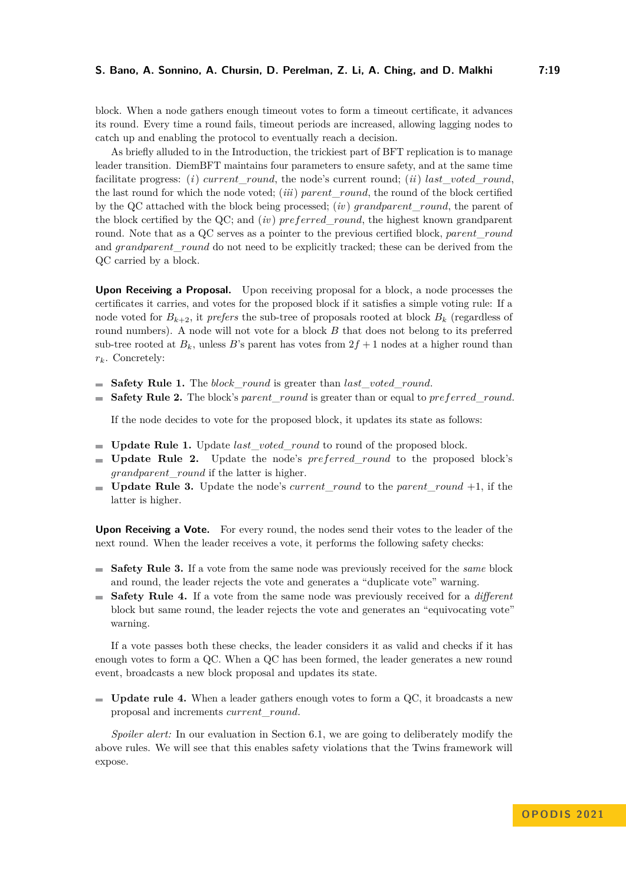block. When a node gathers enough timeout votes to form a timeout certificate, it advances its round. Every time a round fails, timeout periods are increased, allowing lagging nodes to catch up and enabling the protocol to eventually reach a decision.

As briefly alluded to in the Introduction, the trickiest part of BFT replication is to manage leader transition. DiemBFT maintains four parameters to ensure safety, and at the same time facilitate progress: (*i*) *current\_round*, the node's current round; (*ii*) *last* voted round, the last round for which the node voted; (*iii*) *parent*\_*round*, the round of the block certified by the QC attached with the block being processed; (*iv* ) *grandparent*\_*round*, the parent of the block certified by the QC; and (*iv* ) *preferred*\_*round*, the highest known grandparent round. Note that as a QC serves as a pointer to the previous certified block, *parent*\_*round* and *grandparent* round do not need to be explicitly tracked; these can be derived from the QC carried by a block.

**Upon Receiving a Proposal.** Upon receiving proposal for a block, a node processes the certificates it carries, and votes for the proposed block if it satisfies a simple voting rule: If a node voted for  $B_{k+2}$ , it *prefers* the sub-tree of proposals rooted at block  $B_k$  (regardless of round numbers). A node will not vote for a block *B* that does not belong to its preferred sub-tree rooted at  $B_k$ , unless *B*'s parent has votes from  $2f + 1$  nodes at a higher round than *rk*. Concretely:

- **Safety Rule 1.** The *block*\_*round* is greater than *last*\_*voted*\_*round*.
- **Safety Rule 2.** The block's *parent*\_*round* is greater than or equal to *preferred*\_*round*.  $\blacksquare$

If the node decides to vote for the proposed block, it updates its state as follows:

- **Update Rule 1.** Update *last*\_*voted*\_*round* to round of the proposed block.
- **Update Rule 2.** Update the node's *preferred*\_*round* to the proposed block's *grandparent*\_*round* if the latter is higher.
- **Update Rule 3.** Update the node's *current*\_*round* to the *parent*\_*round* +1, if the latter is higher.

**Upon Receiving a Vote.** For every round, the nodes send their votes to the leader of the next round. When the leader receives a vote, it performs the following safety checks:

- **Safety Rule 3.** If a vote from the same node was previously received for the *same* block and round, the leader rejects the vote and generates a "duplicate vote" warning.
- **Safety Rule 4.** If a vote from the same node was previously received for a *different* block but same round, the leader rejects the vote and generates an "equivocating vote" warning.

If a vote passes both these checks, the leader considers it as valid and checks if it has enough votes to form a QC. When a QC has been formed, the leader generates a new round event, broadcasts a new block proposal and updates its state.

**Update rule 4.** When a leader gathers enough votes to form a QC, it broadcasts a new proposal and increments *current*\_*round*.

*Spoiler alert:* In our evaluation in Section [6.1,](#page-11-1) we are going to deliberately modify the above rules. We will see that this enables safety violations that the Twins framework will expose.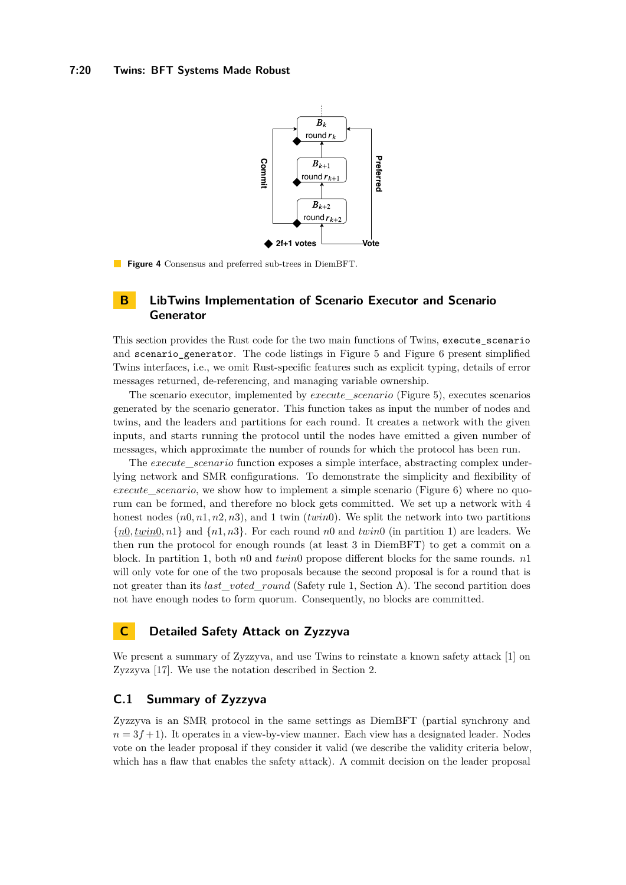

**Figure 4** Consensus and preferred sub-trees in DiemBFT.

### <span id="page-19-1"></span>**B LibTwins Implementation of Scenario Executor and Scenario Generator**

This section provides the Rust code for the two main functions of Twins, execute\_scenario and scenario generator. The code listings in Figure [5](#page-20-0) and Figure [6](#page-21-0) present simplified Twins interfaces, i.e., we omit Rust-specific features such as explicit typing, details of error messages returned, de-referencing, and managing variable ownership.

The scenario executor, implemented by *execute*\_*scenario* (Figure [5\)](#page-20-0), executes scenarios generated by the scenario generator. This function takes as input the number of nodes and twins, and the leaders and partitions for each round. It creates a network with the given inputs, and starts running the protocol until the nodes have emitted a given number of messages, which approximate the number of rounds for which the protocol has been run.

The *execute* scenario function exposes a simple interface, abstracting complex underlying network and SMR configurations. To demonstrate the simplicity and flexibility of *execute*\_*scenario*, we show how to implement a simple scenario (Figure [6\)](#page-21-0) where no quorum can be formed, and therefore no block gets committed. We set up a network with 4 honest nodes (*n*0*, n*1*, n*2*, n*3), and 1 twin (*twin*0). We split the network into two partitions {*n*0*, twin*0*, n*1} and {*n*1*, n*3}. For each round *n*0 and *twin*0 (in partition 1) are leaders. We then run the protocol for enough rounds (at least 3 in DiemBFT) to get a commit on a block. In partition 1, both *n*0 and *twin*0 propose different blocks for the same rounds. *n*1 will only vote for one of the two proposals because the second proposal is for a round that is not greater than its *last* voted round (Safety rule 1, Section [A\)](#page-17-5). The second partition does not have enough nodes to form quorum. Consequently, no blocks are committed.

# <span id="page-19-0"></span>**C Detailed Safety Attack on Zyzzyva**

We present a summary of Zyzzyva, and use Twins to reinstate a known safety attack [\[1\]](#page-16-2) on Zyzzyva [\[17\]](#page-16-3). We use the notation described in Section [2.](#page-3-1)

# <span id="page-19-2"></span>**C.1 Summary of Zyzzyva**

Zyzzyva is an SMR protocol in the same settings as DiemBFT (partial synchrony and  $n = 3f + 1$ . It operates in a view-by-view manner. Each view has a designated leader. Nodes vote on the leader proposal if they consider it valid (we describe the validity criteria below, which has a flaw that enables the safety attack). A commit decision on the leader proposal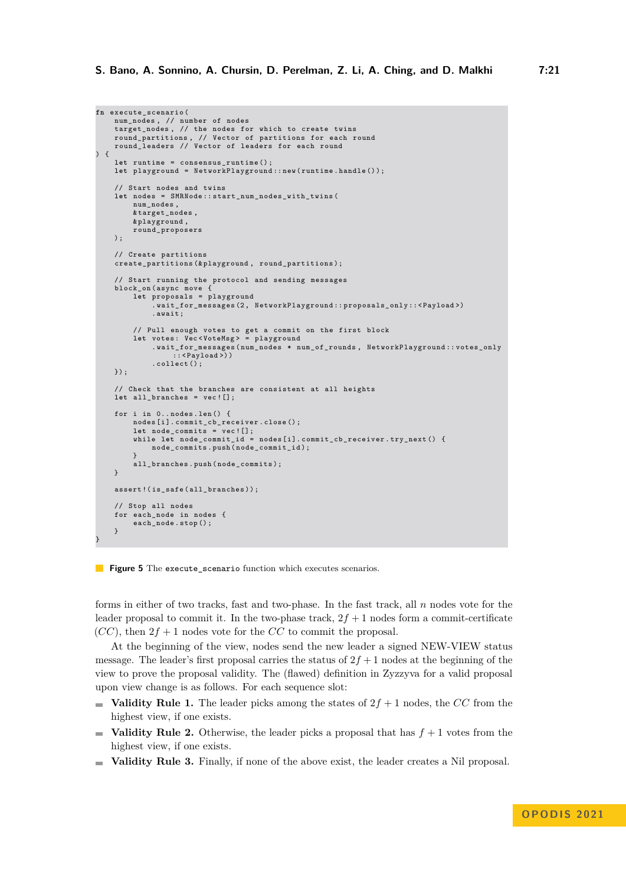```
fn execute_scenario (
    num_nodes , // number of nodes
    target_nodes , // the nodes for which to create twins
    round_partitions , // Vector of partitions for each round
round_leaders // Vector of leaders for each round
) {
    let runtime = consensus_runtime () ;
    let playground = NetworkPlayground :: new ( runtime . handle () );
    // Start nodes and twins
    let nodes = SMRNode :: start_num_nodes_with_twins (
         num nodes,
         & target_nodes ,
         & playground ,
         round_proposers
    );
    // Create partitions
    create_partitions (& playground , round_partitions );
    // Start running the protocol and sending messages
    block_on ( async move {
         let proposals = playground
              . wait_for_messages (2 , NetworkPlayground :: proposals_only :: < Payload >)
             . await ;
         // Pull enough votes to get a commit on the first block
         let votes: Vec<VoteMsg> = playground
              . wait_for_messages ( num_nodes * num_of_rounds , NetworkPlayground :: votes_only
                  :: <Payload>))
             . collect () ;
    }) ;
    // Check that the branches are consistent at all heights
    let all_branches = vec ![];
    for i in 0.. nodes. len () {
         nodes [i]. commit_cb_receiver. close ();
         let node_commits = vec ![];
while let node_commit_id = nodes [i ]. commit_cb_receiver . try_next () {
             node_commits . push ( node_commit_id );
         }
all_branches . push ( node_commits ) ;
    \lambdaassert !( is_safe ( all_branches ));
    // Stop all nodes
    for each node in nodes {
         each_node . stop () ;
    }
```
#### **Figure 5** The execute\_scenario function which executes scenarios.

}

forms in either of two tracks, fast and two-phase. In the fast track, all *n* nodes vote for the leader proposal to commit it. In the two-phase track,  $2f + 1$  nodes form a commit-certificate  $(CC)$ , then  $2f + 1$  nodes vote for the *CC* to commit the proposal.

At the beginning of the view, nodes send the new leader a signed NEW-VIEW status message. The leader's first proposal carries the status of  $2f + 1$  nodes at the beginning of the view to prove the proposal validity. The (flawed) definition in Zyzzyva for a valid proposal upon view change is as follows. For each sequence slot:

- **Validity Rule 1.** The leader picks among the states of  $2f + 1$  nodes, the *CC* from the highest view, if one exists.
- **Validity Rule 2.** Otherwise, the leader picks a proposal that has  $f + 1$  votes from the highest view, if one exists.
- **Validity Rule 3.** Finally, if none of the above exist, the leader creates a Nil proposal.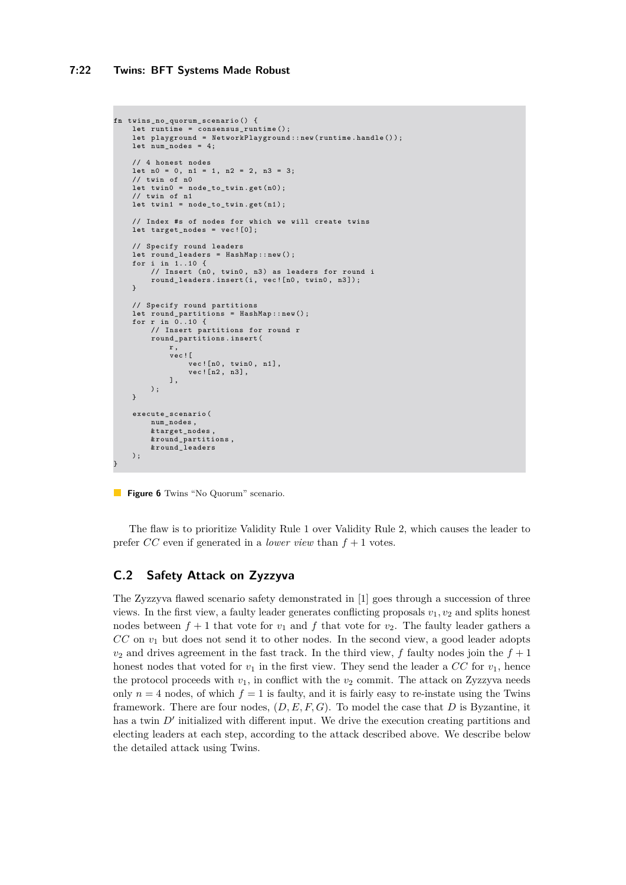```
fn twins_no_quorum_scenario () {
    let runtime = consensus_runtime () ;
     let playground = NetworkPlayground :: new ( runtime . handle () );
let num_nodes = 4;
    // 4 honest nodes
    let n0 = 0, n1 = 1, n2 = 2, n3 = 3;
     // twin of n0
    let twin0 = node_to_twin.get(n0);
    // twin of n1
    let twin1 = node_to_twin . get ( n1 );
    // Index #s of nodes for which we will create twins
    let target_nodes = vec ![0];
     // Specify round leaders
    let round_leaders = HashMap :: new () ;
    for i in 1..10 {
          // Insert (n0, twin0, n3) as leaders for round i<br>round_leaders.insert(i, vec![n0, twin0, n3]);
    }
    // Specify round partitions
     let round_partitions = HashMap :: new () ;
for r in 0..10 {
         // Insert partitions for round r
         round_partitions . insert (
             r<sub>1</sub>vec ![
                  vec ! [n0, twin0, n1],
                   vec![n2, n3],
             ],
         );
    }
    execute_scenario (
         num nodes.
         & target_nodes ,
         & round_partitions ,
         & round_leaders
    );
}
```
**Figure 6** Twins "No Quorum" scenario.

The flaw is to prioritize Validity Rule 1 over Validity Rule 2, which causes the leader to prefer *CC* even if generated in a *lower view* than  $f + 1$  votes.

### **C.2 Safety Attack on Zyzzyva**

The Zyzzyva flawed scenario safety demonstrated in [\[1\]](#page-16-2) goes through a succession of three views. In the first view, a faulty leader generates conflicting proposals  $v_1, v_2$  and splits honest nodes between  $f + 1$  that vote for  $v_1$  and  $f$  that vote for  $v_2$ . The faulty leader gathers a *CC* on *v*<sup>1</sup> but does not send it to other nodes. In the second view, a good leader adopts  $v_2$  and drives agreement in the fast track. In the third view, *f* faulty nodes join the  $f + 1$ honest nodes that voted for  $v_1$  in the first view. They send the leader a  $CC$  for  $v_1$ , hence the protocol proceeds with  $v_1$ , in conflict with the  $v_2$  commit. The attack on Zyzzyva needs only  $n = 4$  nodes, of which  $f = 1$  is faulty, and it is fairly easy to re-instate using the Twins framework. There are four nodes, (*D, E, F, G*). To model the case that *D* is Byzantine, it has a twin  $D'$  initialized with different input. We drive the execution creating partitions and electing leaders at each step, according to the attack described above. We describe below the detailed attack using Twins.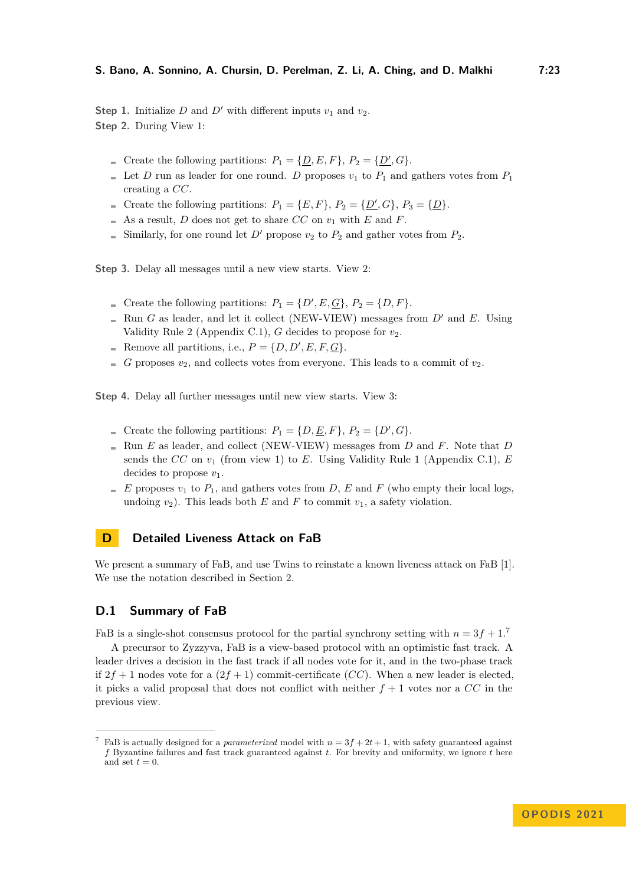**Step 1.** Initialize *D* and *D'* with different inputs  $v_1$  and  $v_2$ . **Step 2.** During View 1:

- Create the following partitions:  $P_1 = \{D, E, F\}$ ,  $P_2 = \{D', G\}$ .
- Let *D* run as leader for one round. *D* proposes  $v_1$  to  $P_1$  and gathers votes from  $P_1$ creating a *CC*.
- Create the following partitions:  $P_1 = \{E, F\}$ ,  $P_2 = \{D', G\}$ ,  $P_3 = \{D\}$ .
- $\blacksquare$  As a result, *D* does not get to share *CC* on  $v_1$  with *E* and *F*.
- Similarly, for one round let  $D'$  propose  $v_2$  to  $P_2$  and gather votes from  $P_2$ .

**Step 3.** Delay all messages until a new view starts. View 2:

- Create the following partitions:  $P_1 = \{D', E, \underline{G}\}, P_2 = \{D, F\}.$
- Run *G* as leader, and let it collect (NEW-VIEW) messages from  $D'$  and *E*. Using Validity Rule 2 (Appendix [C.1\)](#page-19-2),  $G$  decides to propose for  $v_2$ .
- Remove all partitions, i.e.,  $P = \{D, D', E, F, G\}.$
- $G$  proposes  $v_2$ , and collects votes from everyone. This leads to a commit of  $v_2$ .

**Step 4.** Delay all further messages until new view starts. View 3:

- Create the following partitions:  $P_1 = \{D, \underline{E}, F\}, P_2 = \{D', G\}.$
- Run  $E$  as leader, and collect (NEW-VIEW) messages from  $D$  and  $F$ . Note that  $D$ sends the *CC* on *v*<sup>1</sup> (from view 1) to *E*. Using Validity Rule 1 (Appendix [C.1\)](#page-19-2), *E* decides to propose *v*1.
- $E$  proposes  $v_1$  to  $P_1$ , and gathers votes from *D*, *E* and *F* (who empty their local logs, undoing  $v_2$ ). This leads both *E* and *F* to commit  $v_1$ , a safety violation.

### <span id="page-22-0"></span>**D Detailed Liveness Attack on FaB**

We present a summary of FaB, and use Twins to reinstate a known liveness attack on FaB [\[1\]](#page-16-2). We use the notation described in Section [2.](#page-3-1)

#### **D.1 Summary of FaB**

FaB is a single-shot consensus protocol for the partial synchrony setting with  $n = 3f + 1$ .<sup>[7](#page-22-1)</sup>

A precursor to Zyzzyva, FaB is a view-based protocol with an optimistic fast track. A leader drives a decision in the fast track if all nodes vote for it, and in the two-phase track if  $2f + 1$  nodes vote for a  $(2f + 1)$  commit-certificate  $(CC)$ . When a new leader is elected, it picks a valid proposal that does not conflict with neither  $f + 1$  votes nor a  $CC$  in the previous view.

<span id="page-22-1"></span><sup>&</sup>lt;sup>7</sup> FaB is actually designed for a *parameterized* model with  $n = 3f + 2t + 1$ , with safety guaranteed against *f* Byzantine failures and fast track guaranteed against *t*. For brevity and uniformity, we ignore *t* here and set  $t = 0$ .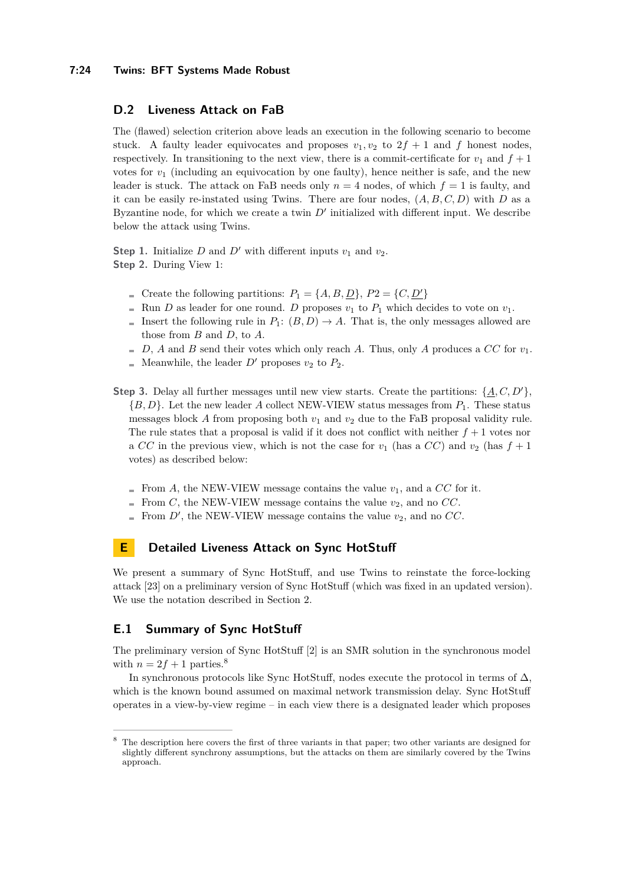#### **7:24 Twins: BFT Systems Made Robust**

### **D.2 Liveness Attack on FaB**

The (flawed) selection criterion above leads an execution in the following scenario to become stuck. A faulty leader equivocates and proposes  $v_1, v_2$  to  $2f + 1$  and f honest nodes, respectively. In transitioning to the next view, there is a commit-certificate for  $v_1$  and  $f + 1$ votes for  $v_1$  (including an equivocation by one faulty), hence neither is safe, and the new leader is stuck. The attack on FaB needs only  $n = 4$  nodes, of which  $f = 1$  is faulty, and it can be easily re-instated using Twins. There are four nodes,  $(A, B, C, D)$  with *D* as a Byzantine node, for which we create a twin  $D'$  initialized with different input. We describe below the attack using Twins.

**Step 1.** Initialize *D* and *D'* with different inputs  $v_1$  and  $v_2$ . **Step 2.** During View 1:

- Create the following partitions:  $P_1 = \{A, B, D\}$ ,  $P_2 = \{C, D'\}$
- Run *D* as leader for one round. *D* proposes  $v_1$  to  $P_1$  which decides to vote on  $v_1$ .
- Insert the following rule in  $P_1: (B, D) \to A$ . That is, the only messages allowed are those from *B* and *D*, to *A*.
- $D, A$  and *B* send their votes which only reach *A*. Thus, only *A* produces a *CC* for  $v_1$ .
- Meanwhile, the leader  $D'$  proposes  $v_2$  to  $P_2$ .
- **Step 3.** Delay all further messages until new view starts. Create the partitions:  $\{A, C, D'\}$ , {*B, D*}. Let the new leader *A* collect NEW-VIEW status messages from *P*1. These status messages block  $A$  from proposing both  $v_1$  and  $v_2$  due to the FaB proposal validity rule. The rule states that a proposal is valid if it does not conflict with neither  $f + 1$  votes nor a CC in the previous view, which is not the case for  $v_1$  (has a CC) and  $v_2$  (has  $f + 1$ votes) as described below:
	- From A, the NEW-VIEW message contains the value  $v_1$ , and a  $CC$  for it.
	- From *C*, the NEW-VIEW message contains the value  $v_2$ , and no *CC*.
	- From  $D'$ , the NEW-VIEW message contains the value  $v_2$ , and no  $CC$ .  $\overline{a}$

# <span id="page-23-0"></span>**E Detailed Liveness Attack on Sync HotStuff**

We present a summary of Sync HotStuff, and use Twins to reinstate the force-locking attack [\[23\]](#page-17-0) on a preliminary version of Sync HotStuff (which was fixed in an updated version). We use the notation described in Section [2.](#page-3-1)

### **E.1 Summary of Sync HotStuff**

The preliminary version of Sync HotStuff [\[2\]](#page-16-4) is an SMR solution in the synchronous model with  $n = 2f + 1$  parties.<sup>[8](#page-23-1)</sup>

In synchronous protocols like Sync HotStuff, nodes execute the protocol in terms of  $\Delta$ , which is the known bound assumed on maximal network transmission delay. Sync HotStuff operates in a view-by-view regime – in each view there is a designated leader which proposes

<span id="page-23-1"></span><sup>8</sup> The description here covers the first of three variants in that paper; two other variants are designed for slightly different synchrony assumptions, but the attacks on them are similarly covered by the Twins approach.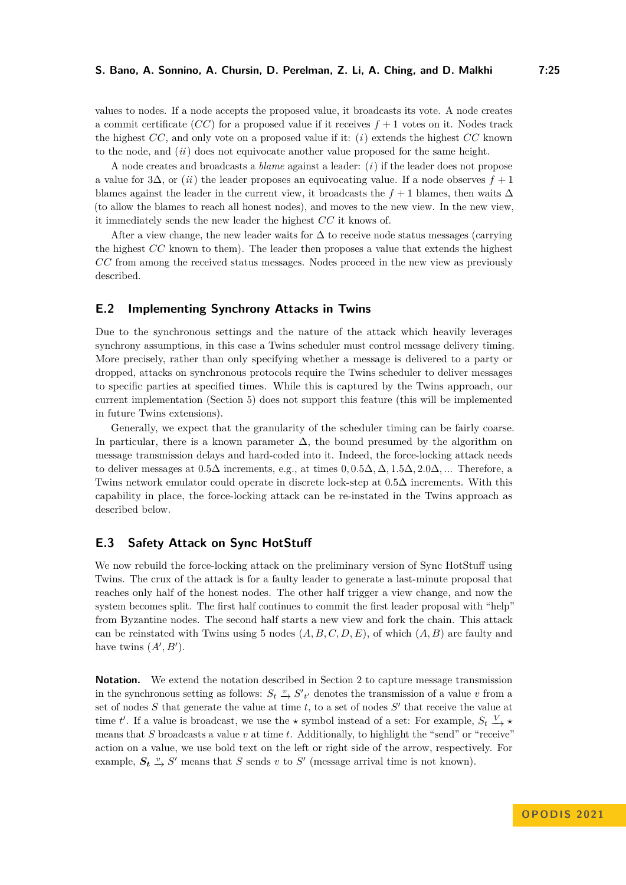values to nodes. If a node accepts the proposed value, it broadcasts its vote. A node creates a commit certificate  $(CC)$  for a proposed value if it receives  $f + 1$  votes on it. Nodes track the highest *CC*, and only vote on a proposed value if it: (*i*) extends the highest *CC* known to the node, and (*ii*) does not equivocate another value proposed for the same height.

A node creates and broadcasts a *blame* against a leader: (*i*) if the leader does not propose a value for 3∆, or (*ii*) the leader proposes an equivocating value. If a node observes *f* + 1 blames against the leader in the current view, it broadcasts the  $f + 1$  blames, then waits  $\Delta$ (to allow the blames to reach all honest nodes), and moves to the new view. In the new view, it immediately sends the new leader the highest *CC* it knows of.

After a view change, the new leader waits for  $\Delta$  to receive node status messages (carrying the highest *CC* known to them). The leader then proposes a value that extends the highest *CC* from among the received status messages. Nodes proceed in the new view as previously described.

### **E.2 Implementing Synchrony Attacks in Twins**

Due to the synchronous settings and the nature of the attack which heavily leverages synchrony assumptions, in this case a Twins scheduler must control message delivery timing. More precisely, rather than only specifying whether a message is delivered to a party or dropped, attacks on synchronous protocols require the Twins scheduler to deliver messages to specific parties at specified times. While this is captured by the Twins approach, our current implementation (Section [5\)](#page-9-0) does not support this feature (this will be implemented in future Twins extensions).

Generally, we expect that the granularity of the scheduler timing can be fairly coarse. In particular, there is a known parameter  $\Delta$ , the bound presumed by the algorithm on message transmission delays and hard-coded into it. Indeed, the force-locking attack needs to deliver messages at 0*.*5∆ increments, e.g., at times 0*,* 0*.*5∆*,* ∆*,* 1*.*5∆*,* 2*.*0∆*, ..*. Therefore, a Twins network emulator could operate in discrete lock-step at 0*.*5∆ increments. With this capability in place, the force-locking attack can be re-instated in the Twins approach as described below.

### **E.3 Safety Attack on Sync HotStuff**

We now rebuild the force-locking attack on the preliminary version of Sync HotStuff using Twins. The crux of the attack is for a faulty leader to generate a last-minute proposal that reaches only half of the honest nodes. The other half trigger a view change, and now the system becomes split. The first half continues to commit the first leader proposal with "help" from Byzantine nodes. The second half starts a new view and fork the chain. This attack can be reinstated with Twins using 5 nodes (*A, B, C, D, E*), of which (*A, B*) are faulty and have twins  $(A', B')$ .

**Notation.** We extend the notation described in Section [2](#page-3-1) to capture message transmission in the synchronous setting as follows:  $S_t \stackrel{v}{\to} S'$ <sub>t'</sub> denotes the transmission of a value *v* from a set of nodes S that generate the value at time t, to a set of nodes S' that receive the value at time *t'*. If a value is broadcast, we use the  $\star$  symbol instead of a set: For example,  $S_t \xrightarrow{V} \star$ means that *S* broadcasts a value *v* at time *t*. Additionally, to highlight the "send" or "receive" action on a value, we use bold text on the left or right side of the arrow, respectively. For example,  $S_t \overset{v}{\rightarrow} S'$  means that *S* sends *v* to *S'* (message arrival time is not known).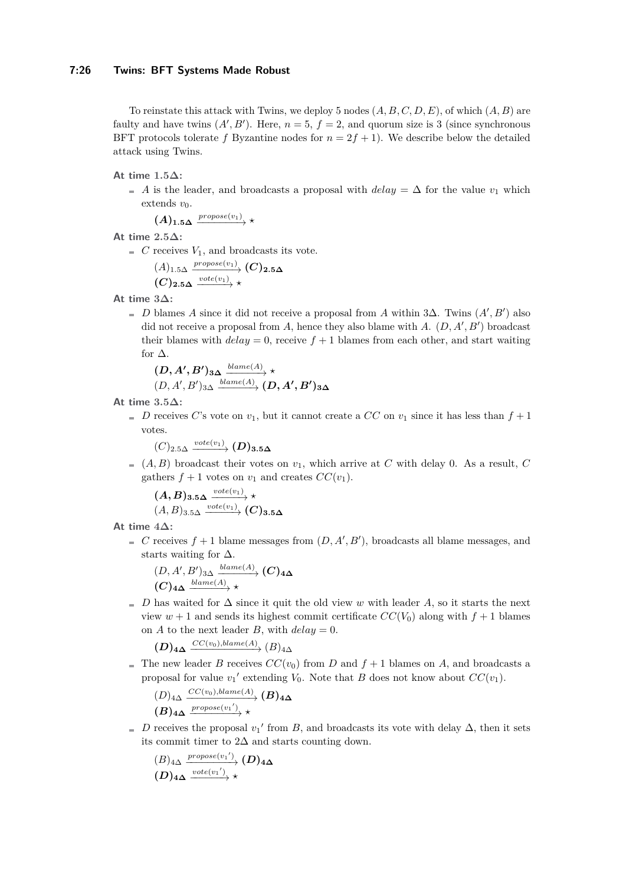To reinstate this attack with Twins, we deploy 5 nodes (*A, B, C, D, E*), of which (*A, B*) are faulty and have twins  $(A', B')$ . Here,  $n = 5$ ,  $f = 2$ , and quorum size is 3 (since synchronous BFT protocols tolerate *f* Byzantine nodes for  $n = 2f + 1$ . We describe below the detailed attack using Twins.

**At time 1***.***5∆:**

 $\overline{A}$  *A* is the leader, and broadcasts a proposal with *delay* = ∆ for the value *v*<sub>1</sub> which extends  $v_0$ .

 $(A)_{1.5\Delta} \xrightarrow{propose(v_1)} \star$ 

- **At time 2***.***5∆:**
	- $C$  receives  $V_1$ , and broadcasts its vote.

$$
A)_{1.5\Delta} \xrightarrow{propose(v_1)} (C)_{2.5\Delta}
$$
  

$$
(C)_{2.5\Delta} \xrightarrow{vote(v_1)} \star
$$

**At time 3∆:**

*D* blames *A* since it did not receive a proposal from *A* within 3∆. Twins  $(A', B')$  also did not receive a proposal from *A*, hence they also blame with *A*. (*D, A*′ *, B*′ ) broadcast their blames with  $delay = 0$ , receive  $f + 1$  blames from each other, and start waiting for  $\Delta$ .

$$
\begin{array}{l}(\boldsymbol{D},\boldsymbol{A'},\boldsymbol{B'})_{3\boldsymbol{\Delta}}\xrightarrow{blame(A)}\star\\ (\boldsymbol{D},\boldsymbol{A'},\boldsymbol{B'})_{3\boldsymbol{\Delta}}\xrightarrow{blame(A)}(\boldsymbol{D},\boldsymbol{A'},\boldsymbol{B'})_{3\boldsymbol{\Delta}}\end{array}
$$

**At time 3***.***5∆:**

*D* receives *C*'s vote on  $v_1$ , but it cannot create a *CC* on  $v_1$  since it has less than  $f + 1$ votes.

 $(C)_{2.5\Delta} \xrightarrow{vote(v_1)} (D)_{3.5\Delta}$ 

 $(A, B)$  broadcast their votes on  $v_1$ , which arrive at C with delay 0. As a result, C gathers  $f + 1$  votes on  $v_1$  and creates  $CC(v_1)$ .

 $(A, B)_{3.5\Delta} \xrightarrow{vote(v_1)} \star$  $(A, B)_{3.5\Delta} \xrightarrow{vote(v_1)} (C)_{3.5\Delta}$ 

**At time 4∆:**

*C* receives  $f + 1$  blame messages from  $(D, A', B')$ , broadcasts all blame messages, and starts waiting for  $\Delta$ .

$$
\frac{(D, A', B')_{3\Delta} \xrightarrow{blame(A)} (C)_{4\Delta}}{(C)_{4\Delta} \xrightarrow{blame(A)} \star}
$$

 $D$  has waited for  $\Delta$  since it quit the old view *w* with leader *A*, so it starts the next view  $w + 1$  and sends its highest commit certificate  $CC(V_0)$  along with  $f + 1$  blames on *A* to the next leader *B*, with  $delay = 0$ .

 $(D)$ **4∆**  $\xrightarrow{CC(v_0),blame(A)} (B)$ <sub>4</sub>∆

The new leader *B* receives  $CC(v_0)$  from *D* and  $f + 1$  blames on *A*, and broadcasts a proposal for value  $v_1'$  extending  $V_0$ . Note that *B* does not know about  $CC(v_1)$ .

$$
(D)_{4\Delta} \xrightarrow{CC(v_0),blame(A)} (B)_{4\Delta}
$$
  

$$
(B)_{4\Delta} \xrightarrow{propose(v_1')}\star
$$

*D* receives the proposal  $v_1'$  from *B*, and broadcasts its vote with delay  $\Delta$ , then it sets its commit timer to  $2\Delta$  and starts counting down.

$$
\begin{array}{c}\n(B)_{4\Delta} \xrightarrow{propose(v_1')}\n(D)_{4\Delta} \\
(D)_{4\Delta} \xrightarrow{vote(v_1')}\n\star\n\end{array}
$$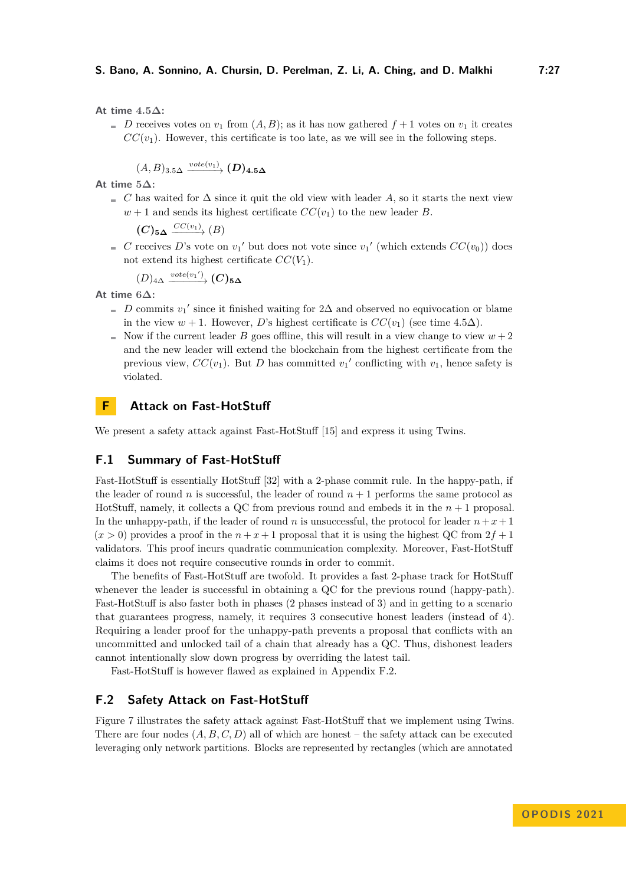**At time 4***.***5∆:**

*D* receives votes on  $v_1$  from  $(A, B)$ ; as it has now gathered  $f + 1$  votes on  $v_1$  it creates  $CC(v_1)$ . However, this certificate is too late, as we will see in the following steps.

 $(A, B)_{3.5\Delta} \xrightarrow{vote(v_1)} (D)_{4.5\Delta}$ 

**At time 5∆:**

 $C$  has waited for  $\Delta$  since it quit the old view with leader *A*, so it starts the next view  $w + 1$  and sends its highest certificate  $CC(v_1)$  to the new leader *B*.

 $(C)$ 5 $\Delta \xrightarrow{CC(v_1)} (B)$ 

*C* receives *D*'s vote on  $v_1'$  but does not vote since  $v_1'$  (which extends  $CC(v_0)$ ) does not extend its highest certificate  $CC(V_1)$ .

$$
(D)_{4\Delta} \xrightarrow{vote(v_1')} (C)_{5\Delta}
$$

**At time 6∆:**

- *D* commits  $v_1'$  since it finished waiting for 2∆ and observed no equivocation or blame in the view *w* + 1. However, *D*'s highest certificate is  $CC(v_1)$  (see time 4*.5* $\Delta$ ).
- Now if the current leader *B* goes offline, this will result in a view change to view  $w + 2$ and the new leader will extend the blockchain from the highest certificate from the previous view,  $CC(v_1)$ . But *D* has committed  $v_1'$  conflicting with  $v_1$ , hence safety is violated.

### <span id="page-26-0"></span>**F Attack on Fast-HotStuff**

We present a safety attack against Fast-HotStuff [\[15\]](#page-16-5) and express it using Twins.

# **F.1 Summary of Fast-HotStuff**

Fast-HotStuff is essentially HotStuff [\[32\]](#page-17-2) with a 2-phase commit rule. In the happy-path, if the leader of round *n* is successful, the leader of round  $n + 1$  performs the same protocol as HotStuff, namely, it collects a QC from previous round and embeds it in the *n* + 1 proposal. In the unhappy-path, if the leader of round *n* is unsuccessful, the protocol for leader  $n + x + 1$  $(x > 0)$  provides a proof in the  $n + x + 1$  proposal that it is using the highest QC from  $2f + 1$ validators. This proof incurs quadratic communication complexity. Moreover, Fast-HotStuff claims it does not require consecutive rounds in order to commit.

The benefits of Fast-HotStuff are twofold. It provides a fast 2-phase track for HotStuff whenever the leader is successful in obtaining a QC for the previous round (happy-path). Fast-HotStuff is also faster both in phases (2 phases instead of 3) and in getting to a scenario that guarantees progress, namely, it requires 3 consecutive honest leaders (instead of 4). Requiring a leader proof for the unhappy-path prevents a proposal that conflicts with an uncommitted and unlocked tail of a chain that already has a QC. Thus, dishonest leaders cannot intentionally slow down progress by overriding the latest tail.

Fast-HotStuff is however flawed as explained in Appendix [F.2.](#page-26-1)

### <span id="page-26-1"></span>**F.2 Safety Attack on Fast-HotStuff**

Figure [7](#page-27-0) illustrates the safety attack against Fast-HotStuff that we implement using Twins. There are four nodes (*A, B, C, D*) all of which are honest – the safety attack can be executed leveraging only network partitions. Blocks are represented by rectangles (which are annotated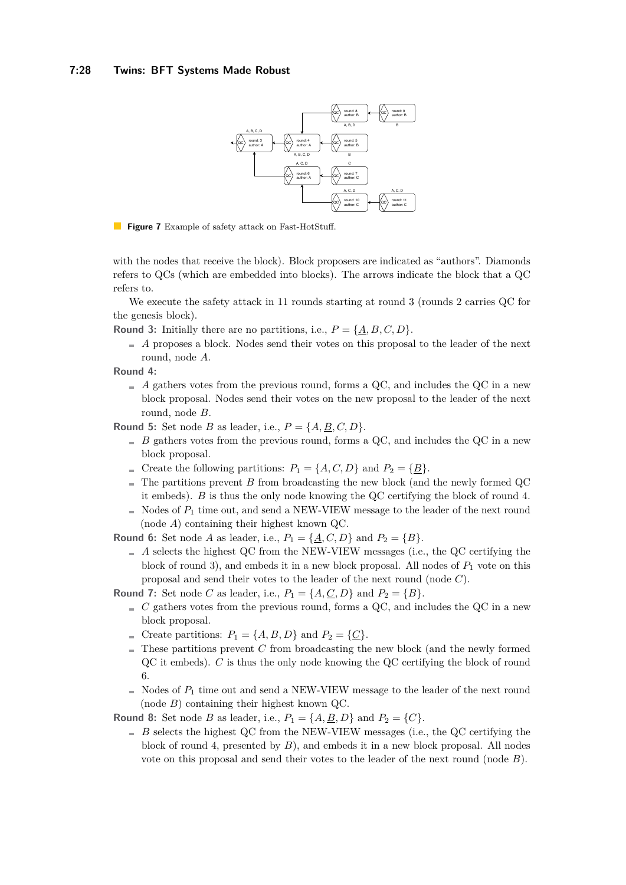<span id="page-27-0"></span>

**Figure 7** Example of safety attack on Fast-HotStuff.

with the nodes that receive the block). Block proposers are indicated as "authors". Diamonds refers to QCs (which are embedded into blocks). The arrows indicate the block that a QC refers to.

We execute the safety attack in 11 rounds starting at round 3 (rounds 2 carries QC for the genesis block).

**Round 3:** Initially there are no partitions, i.e.,  $P = \{A, B, C, D\}$ .

 $A$  proposes a block. Nodes send their votes on this proposal to the leader of the next round, node *A*.

**Round 4:**

 $A$  gathers votes from the previous round, forms a QC, and includes the QC in a new block proposal. Nodes send their votes on the new proposal to the leader of the next round, node *B*.

**Round 5:** Set node *B* as leader, i.e.,  $P = \{A, B, C, D\}$ .

- $B$  gathers votes from the previous round, forms a QC, and includes the QC in a new block proposal.
- For Create the following partitions:  $P_1 = \{A, C, D\}$  and  $P_2 = \{\underline{B}\}.$
- $\blacksquare$  The partitions prevent *B* from broadcasting the new block (and the newly formed QC it embeds). *B* is thus the only node knowing the QC certifying the block of round 4.
- $\blacksquare$  Nodes of  $P_1$  time out, and send a NEW-VIEW message to the leader of the next round (node *A*) containing their highest known QC.

**Round 6:** Set node *A* as leader, i.e.,  $P_1 = \{A, C, D\}$  and  $P_2 = \{B\}.$ 

- $A$  selects the highest QC from the NEW-VIEW messages (i.e., the QC certifying the block of round 3), and embeds it in a new block proposal. All nodes of *P*<sup>1</sup> vote on this proposal and send their votes to the leader of the next round (node *C*).
- **Round 7:** Set node *C* as leader, i.e.,  $P_1 = \{A, \underline{C}, D\}$  and  $P_2 = \{B\}.$ 
	- $C_{\text{g}}$  *C* gathers votes from the previous round, forms a QC, and includes the QC in a new block proposal.
	- For Create partitions:  $P_1 = \{A, B, D\}$  and  $P_2 = \{\underline{C}\}.$
	- $\blacksquare$  These partitions prevent *C* from broadcasting the new block (and the newly formed QC it embeds). *C* is thus the only node knowing the QC certifying the block of round 6.
	- $\blacksquare$  Nodes of  $P_1$  time out and send a NEW-VIEW message to the leader of the next round (node *B*) containing their highest known QC.

**Round 8:** Set node *B* as leader, i.e.,  $P_1 = \{A, \underline{B}, D\}$  and  $P_2 = \{C\}$ .

 $B$  selects the highest QC from the NEW-VIEW messages (i.e., the QC certifying the block of round 4, presented by *B*), and embeds it in a new block proposal. All nodes vote on this proposal and send their votes to the leader of the next round (node *B*).